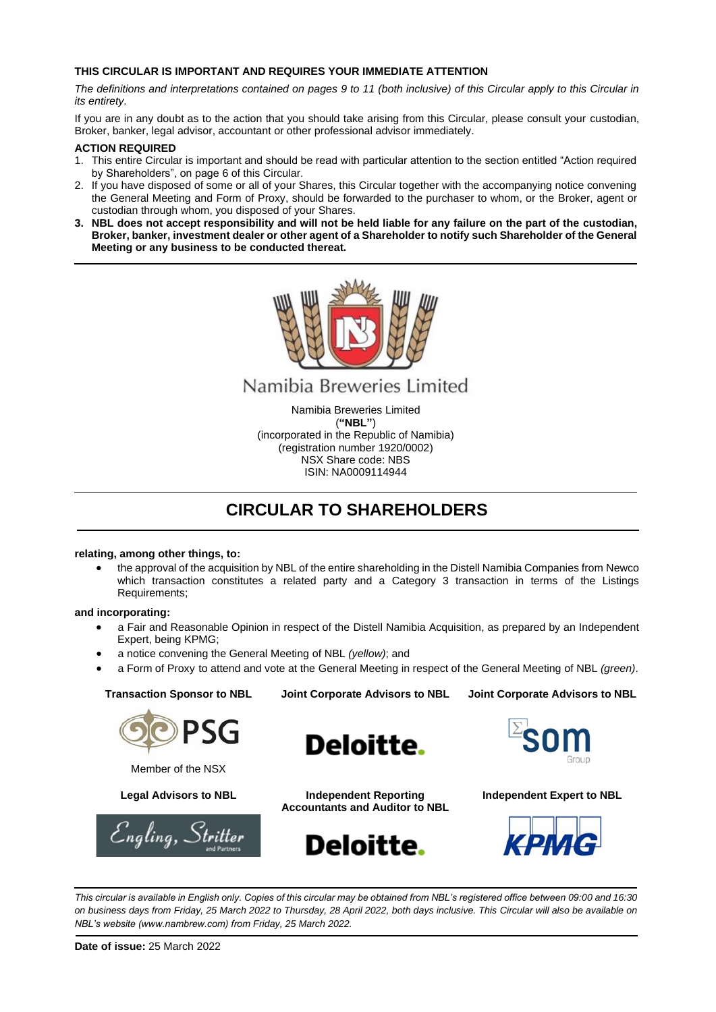## **THIS CIRCULAR IS IMPORTANT AND REQUIRES YOUR IMMEDIATE ATTENTION**

*The definitions and interpretations contained on pages 9 to 11 (both inclusive) of this Circular apply to this Circular in its entirety.* 

If you are in any doubt as to the action that you should take arising from this Circular, please consult your custodian, Broker, banker, legal advisor, accountant or other professional advisor immediately.

## **ACTION REQUIRED**

- 1. This entire Circular is important and should be read with particular attention to the section entitled "Action required by Shareholders", on page 6 of this Circular.
- 2. If you have disposed of some or all of your Shares, this Circular together with the accompanying notice convening the General Meeting and Form of Proxy, should be forwarded to the purchaser to whom, or the Broker, agent or custodian through whom, you disposed of your Shares.
- **3. NBL does not accept responsibility and will not be held liable for any failure on the part of the custodian, Broker, banker, investment dealer or other agent of a Shareholder to notify such Shareholder of the General Meeting or any business to be conducted thereat.**



# Namibia Breweries Limited

Namibia Breweries Limited (**"NBL"**) (incorporated in the Republic of Namibia) (registration number 1920/0002) NSX Share code: NBS ISIN: NA0009114944

# **CIRCULAR TO SHAREHOLDERS**

## **relating, among other things, to:**

• the approval of the acquisition by NBL of the entire shareholding in the Distell Namibia Companies from Newco which transaction constitutes a related party and a Category 3 transaction in terms of the Listings Requirements;

## **and incorporating:**

- a Fair and Reasonable Opinion in respect of the Distell Namibia Acquisition, as prepared by an Independent Expert, being KPMG;
- a notice convening the General Meeting of NBL *(yellow)*; and
- a Form of Proxy to attend and vote at the General Meeting in respect of the General Meeting of NBL *(green)*.

**Joint Corporate Advisors to NBL Joint Corporate Advisors to NBL**

**Transaction Sponsor to NBL**



Member of the NSX





**Legal Advisors to NBL Independent Reporting Accountants and Auditor to NBL**





**Independent Expert to NBL**



*This circular is available in English only. Copies of this circular may be obtained from NBL's registered office between 09:00 and 16:30 on business days from Friday, 25 March 2022 to Thursday, 28 April 2022, both days inclusive. This Circular will also be available on NBL's website (www.nambrew.com) from Friday, 25 March 2022.*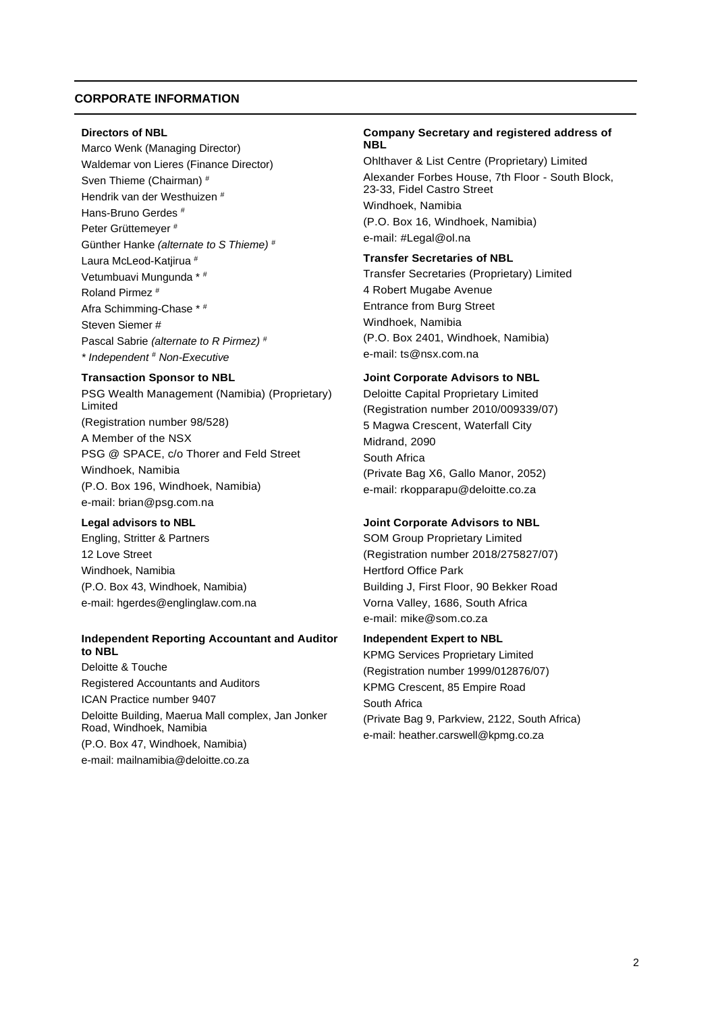## <span id="page-1-0"></span>**CORPORATE INFORMATION**

#### **Directors of NBL**

Marco Wenk (Managing Director) Waldemar von Lieres (Finance Director) Sven Thieme (Chairman) # Hendrik van der Westhuizen # Hans-Bruno Gerdes # Peter Grüttemeyer # Günther Hanke *(alternate to S Thieme)* # Laura McLeod-Katjirua # Vetumbuavi Mungunda \* # Roland Pirmez # Afra Schimming-Chase \* # Steven Siemer # Pascal Sabrie *(alternate to R Pirmez)* # *\* Independent* # *Non-Executive*

## **Transaction Sponsor to NBL**

PSG Wealth Management (Namibia) (Proprietary) Limited (Registration number 98/528) A Member of the NSX PSG @ SPACE, c/o Thorer and Feld Street Windhoek, Namibia (P.O. Box 196, Windhoek, Namibia) e-mail: brian@psg.com.na

## **Legal advisors to NBL**

Engling, Stritter & Partners 12 Love Street Windhoek, Namibia (P.O. Box 43, Windhoek, Namibia) e-mail: hgerdes@englinglaw.com.na

## **Independent Reporting Accountant and Auditor to NBL**

Deloitte & Touche Registered Accountants and Auditors ICAN Practice number 9407 Deloitte Building, Maerua Mall complex, Jan Jonker Road, Windhoek, Namibia (P.O. Box 47, Windhoek, Namibia) e-mail: mailnamibia@deloitte.co.za

## **Company Secretary and registered address of NBL**

Ohlthaver & List Centre (Proprietary) Limited Alexander Forbes House, 7th Floor - South Block, 23-33, Fidel Castro Street Windhoek, Namibia (P.O. Box 16, Windhoek, Namibia) e-mail: #Legal@ol.na

## **Transfer Secretaries of NBL**

Transfer Secretaries (Proprietary) Limited 4 Robert Mugabe Avenue Entrance from Burg Street Windhoek, Namibia (P.O. Box 2401, Windhoek, Namibia) e-mail: ts@nsx.com.na

## **Joint Corporate Advisors to NBL**

Deloitte Capital Proprietary Limited (Registration number 2010/009339/07) 5 Magwa Crescent, Waterfall City Midrand, 2090 South Africa (Private Bag X6, Gallo Manor, 2052) e-mail: rkopparapu@deloitte.co.za

## **Joint Corporate Advisors to NBL**

SOM Group Proprietary Limited (Registration number 2018/275827/07) Hertford Office Park Building J, First Floor, 90 Bekker Road Vorna Valley, 1686, South Africa e-mail: mike@som.co.za

## **Independent Expert to NBL**

KPMG Services Proprietary Limited (Registration number 1999/012876/07) KPMG Crescent, 85 Empire Road South Africa (Private Bag 9, Parkview, 2122, South Africa) e-mail: heather.carswell@kpmg.co.za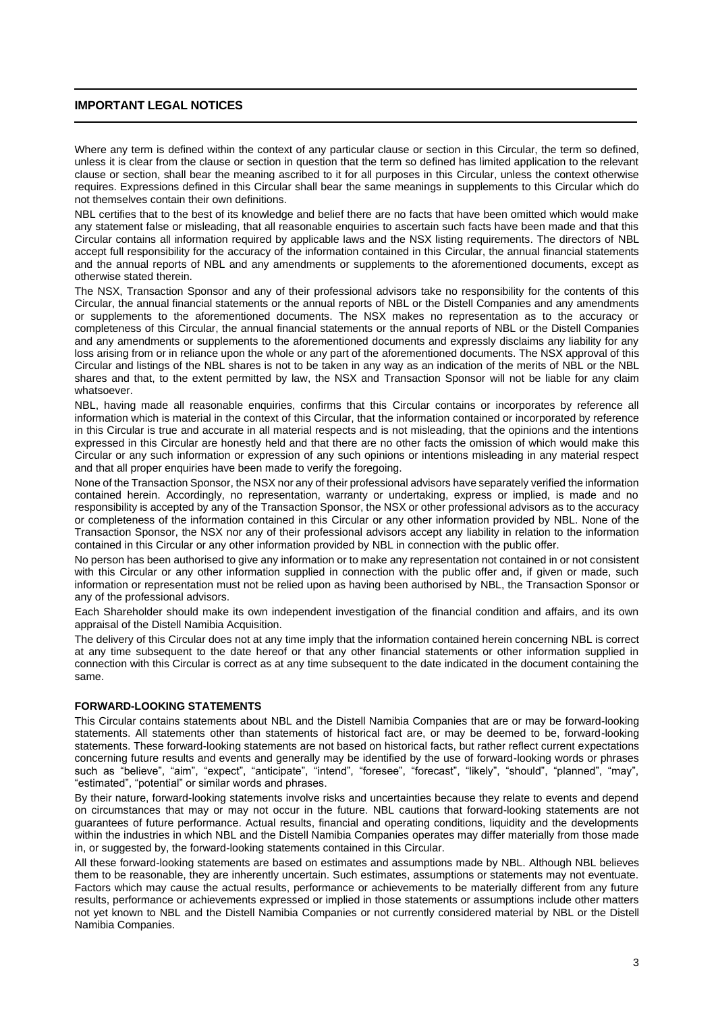## **IMPORTANT LEGAL NOTICES**

Where any term is defined within the context of any particular clause or section in this Circular, the term so defined, unless it is clear from the clause or section in question that the term so defined has limited application to the relevant clause or section, shall bear the meaning ascribed to it for all purposes in this Circular, unless the context otherwise requires. Expressions defined in this Circular shall bear the same meanings in supplements to this Circular which do not themselves contain their own definitions.

NBL certifies that to the best of its knowledge and belief there are no facts that have been omitted which would make any statement false or misleading, that all reasonable enquiries to ascertain such facts have been made and that this Circular contains all information required by applicable laws and the NSX listing requirements. The directors of NBL accept full responsibility for the accuracy of the information contained in this Circular, the annual financial statements and the annual reports of NBL and any amendments or supplements to the aforementioned documents, except as otherwise stated therein.

The NSX, Transaction Sponsor and any of their professional advisors take no responsibility for the contents of this Circular, the annual financial statements or the annual reports of NBL or the Distell Companies and any amendments or supplements to the aforementioned documents. The NSX makes no representation as to the accuracy or completeness of this Circular, the annual financial statements or the annual reports of NBL or the Distell Companies and any amendments or supplements to the aforementioned documents and expressly disclaims any liability for any loss arising from or in reliance upon the whole or any part of the aforementioned documents. The NSX approval of this Circular and listings of the NBL shares is not to be taken in any way as an indication of the merits of NBL or the NBL shares and that, to the extent permitted by law, the NSX and Transaction Sponsor will not be liable for any claim whatsoever.

NBL, having made all reasonable enquiries, confirms that this Circular contains or incorporates by reference all information which is material in the context of this Circular, that the information contained or incorporated by reference in this Circular is true and accurate in all material respects and is not misleading, that the opinions and the intentions expressed in this Circular are honestly held and that there are no other facts the omission of which would make this Circular or any such information or expression of any such opinions or intentions misleading in any material respect and that all proper enquiries have been made to verify the foregoing.

None of the Transaction Sponsor, the NSX nor any of their professional advisors have separately verified the information contained herein. Accordingly, no representation, warranty or undertaking, express or implied, is made and no responsibility is accepted by any of the Transaction Sponsor, the NSX or other professional advisors as to the accuracy or completeness of the information contained in this Circular or any other information provided by NBL. None of the Transaction Sponsor, the NSX nor any of their professional advisors accept any liability in relation to the information contained in this Circular or any other information provided by NBL in connection with the public offer.

No person has been authorised to give any information or to make any representation not contained in or not consistent with this Circular or any other information supplied in connection with the public offer and, if given or made, such information or representation must not be relied upon as having been authorised by NBL, the Transaction Sponsor or any of the professional advisors.

Each Shareholder should make its own independent investigation of the financial condition and affairs, and its own appraisal of the Distell Namibia Acquisition.

The delivery of this Circular does not at any time imply that the information contained herein concerning NBL is correct at any time subsequent to the date hereof or that any other financial statements or other information supplied in connection with this Circular is correct as at any time subsequent to the date indicated in the document containing the same.

## **FORWARD-LOOKING STATEMENTS**

This Circular contains statements about NBL and the Distell Namibia Companies that are or may be forward-looking statements. All statements other than statements of historical fact are, or may be deemed to be, forward-looking statements. These forward-looking statements are not based on historical facts, but rather reflect current expectations concerning future results and events and generally may be identified by the use of forward-looking words or phrases such as "believe", "aim", "expect", "anticipate", "intend", "foresee", "forecast", "likely", "should", "planned", "may", "estimated", "potential" or similar words and phrases.

By their nature, forward-looking statements involve risks and uncertainties because they relate to events and depend on circumstances that may or may not occur in the future. NBL cautions that forward-looking statements are not guarantees of future performance. Actual results, financial and operating conditions, liquidity and the developments within the industries in which NBL and the Distell Namibia Companies operates may differ materially from those made in, or suggested by, the forward-looking statements contained in this Circular.

All these forward-looking statements are based on estimates and assumptions made by NBL. Although NBL believes them to be reasonable, they are inherently uncertain. Such estimates, assumptions or statements may not eventuate. Factors which may cause the actual results, performance or achievements to be materially different from any future results, performance or achievements expressed or implied in those statements or assumptions include other matters not yet known to NBL and the Distell Namibia Companies or not currently considered material by NBL or the Distell Namibia Companies.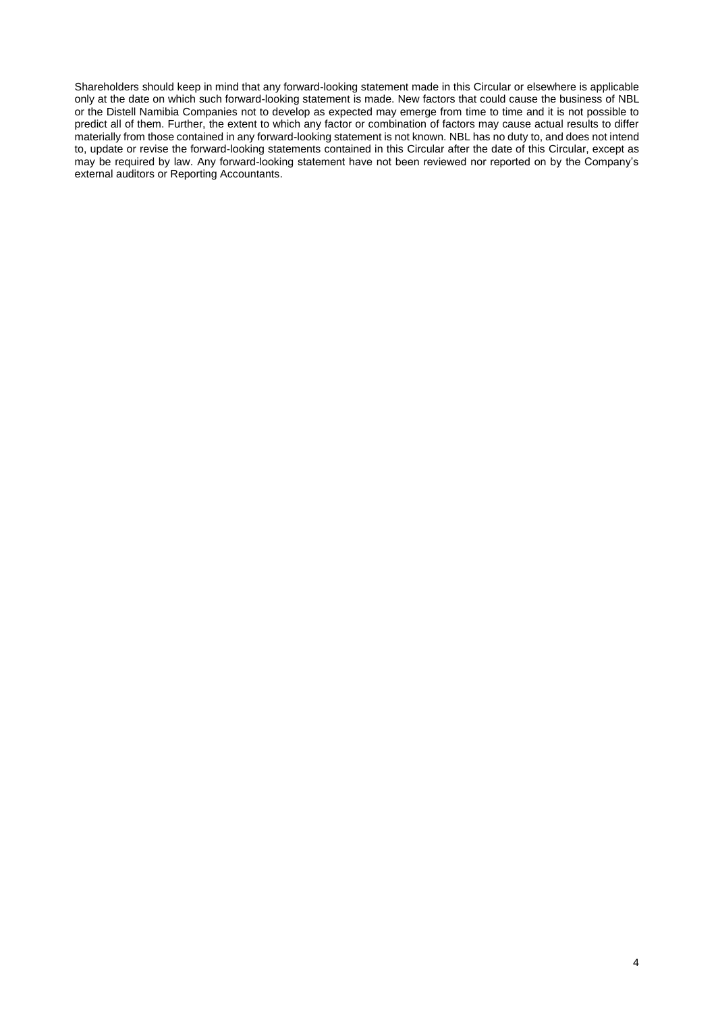Shareholders should keep in mind that any forward-looking statement made in this Circular or elsewhere is applicable only at the date on which such forward-looking statement is made. New factors that could cause the business of NBL or the Distell Namibia Companies not to develop as expected may emerge from time to time and it is not possible to predict all of them. Further, the extent to which any factor or combination of factors may cause actual results to differ materially from those contained in any forward-looking statement is not known. NBL has no duty to, and does not intend to, update or revise the forward-looking statements contained in this Circular after the date of this Circular, except as may be required by law. Any forward-looking statement have not been reviewed nor reported on by the Company's external auditors or Reporting Accountants.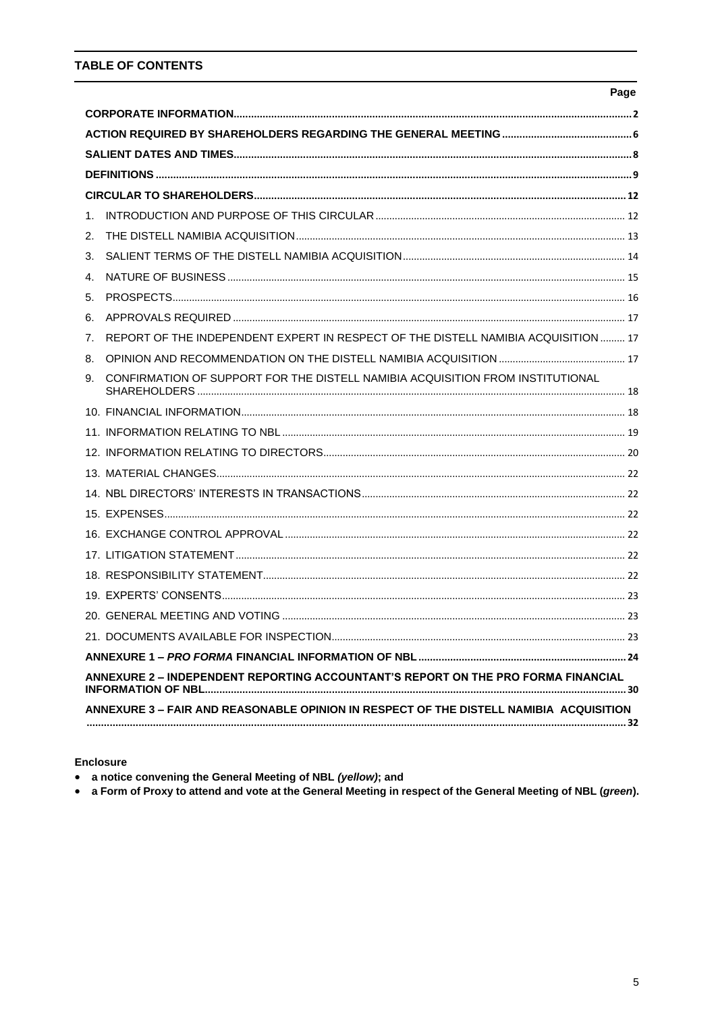## **TABLE OF CONTENTS**

|    |                                                                                        | Page |
|----|----------------------------------------------------------------------------------------|------|
|    |                                                                                        |      |
|    |                                                                                        |      |
|    |                                                                                        |      |
|    |                                                                                        |      |
|    |                                                                                        |      |
| 1. |                                                                                        |      |
| 2. |                                                                                        |      |
| 3. |                                                                                        |      |
| 4. |                                                                                        |      |
| 5. |                                                                                        |      |
| 6. |                                                                                        |      |
| 7. | REPORT OF THE INDEPENDENT EXPERT IN RESPECT OF THE DISTELL NAMIBIA ACQUISITION  17     |      |
| 8. |                                                                                        |      |
| 9. | CONFIRMATION OF SUPPORT FOR THE DISTELL NAMIBIA ACQUISITION FROM INSTITUTIONAL         |      |
|    |                                                                                        |      |
|    |                                                                                        |      |
|    |                                                                                        |      |
|    |                                                                                        |      |
|    |                                                                                        |      |
|    |                                                                                        |      |
|    |                                                                                        |      |
|    |                                                                                        |      |
|    |                                                                                        |      |
|    |                                                                                        |      |
|    |                                                                                        |      |
|    |                                                                                        |      |
|    |                                                                                        |      |
|    | ANNEXURE 2 - INDEPENDENT REPORTING ACCOUNTANT'S REPORT ON THE PRO FORMA FINANCIAL      |      |
|    | ANNEXURE 3 - FAIR AND REASONABLE OPINION IN RESPECT OF THE DISTELL NAMIBIA ACQUISITION |      |
|    |                                                                                        |      |

## **Enclosure**

- a notice convening the General Meeting of NBL (yellow); and
- a Form of Proxy to attend and vote at the General Meeting in respect of the General Meeting of NBL (green).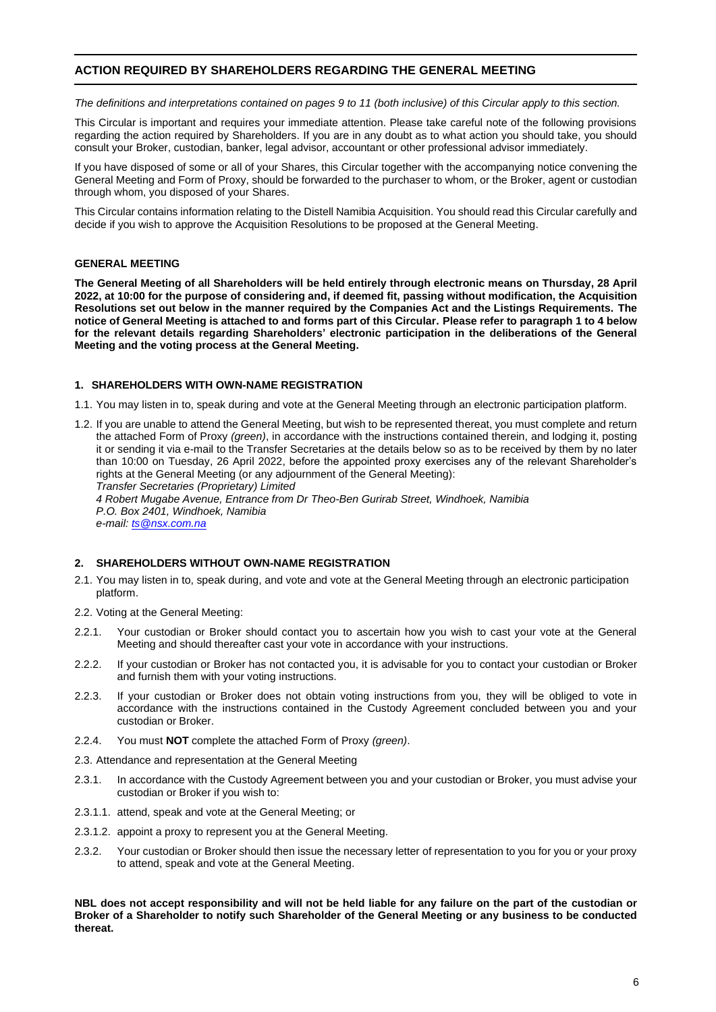## <span id="page-5-0"></span>**ACTION REQUIRED BY SHAREHOLDERS REGARDING THE GENERAL MEETING**

*The definitions and interpretations contained on pages 9 to 11 (both inclusive) of this Circular apply to this section.*

This Circular is important and requires your immediate attention. Please take careful note of the following provisions regarding the action required by Shareholders. If you are in any doubt as to what action you should take, you should consult your Broker, custodian, banker, legal advisor, accountant or other professional advisor immediately.

If you have disposed of some or all of your Shares, this Circular together with the accompanying notice convening the General Meeting and Form of Proxy, should be forwarded to the purchaser to whom, or the Broker, agent or custodian through whom, you disposed of your Shares.

This Circular contains information relating to the Distell Namibia Acquisition. You should read this Circular carefully and decide if you wish to approve the Acquisition Resolutions to be proposed at the General Meeting.

## **GENERAL MEETING**

**The General Meeting of all Shareholders will be held entirely through electronic means on Thursday, 28 April 2022, at 10:00 for the purpose of considering and, if deemed fit, passing without modification, the Acquisition Resolutions set out below in the manner required by the Companies Act and the Listings Requirements. The notice of General Meeting is attached to and forms part of this Circular. Please refer to paragraph 1 to 4 below for the relevant details regarding Shareholders' electronic participation in the deliberations of the General Meeting and the voting process at the General Meeting.**

## **1. SHAREHOLDERS WITH OWN-NAME REGISTRATION**

1.1. You may listen in to, speak during and vote at the General Meeting through an electronic participation platform.

1.2. If you are unable to attend the General Meeting, but wish to be represented thereat, you must complete and return the attached Form of Proxy *(green)*, in accordance with the instructions contained therein, and lodging it, posting it or sending it via e-mail to the Transfer Secretaries at the details below so as to be received by them by no later than 10:00 on Tuesday, 26 April 2022, before the appointed proxy exercises any of the relevant Shareholder's rights at the General Meeting (or any adjournment of the General Meeting):

*Transfer Secretaries (Proprietary) Limited 4 Robert Mugabe Avenue, Entrance from Dr Theo-Ben Gurirab Street, Windhoek, Namibia P.O. Box 2401, Windhoek, Namibia e-mail[: ts@nsx.com.na](mailto:ts@nsx.com.na)*

## **2. SHAREHOLDERS WITHOUT OWN-NAME REGISTRATION**

- 2.1. You may listen in to, speak during, and vote and vote at the General Meeting through an electronic participation platform.
- 2.2. Voting at the General Meeting:
- 2.2.1. Your custodian or Broker should contact you to ascertain how you wish to cast your vote at the General Meeting and should thereafter cast your vote in accordance with your instructions.
- 2.2.2. If your custodian or Broker has not contacted you, it is advisable for you to contact your custodian or Broker and furnish them with your voting instructions.
- 2.2.3. If your custodian or Broker does not obtain voting instructions from you, they will be obliged to vote in accordance with the instructions contained in the Custody Agreement concluded between you and your custodian or Broker.
- 2.2.4. You must **NOT** complete the attached Form of Proxy *(green)*.
- 2.3. Attendance and representation at the General Meeting
- 2.3.1. In accordance with the Custody Agreement between you and your custodian or Broker, you must advise your custodian or Broker if you wish to:
- 2.3.1.1. attend, speak and vote at the General Meeting; or
- 2.3.1.2. appoint a proxy to represent you at the General Meeting.
- 2.3.2. Your custodian or Broker should then issue the necessary letter of representation to you for you or your proxy to attend, speak and vote at the General Meeting.

**NBL does not accept responsibility and will not be held liable for any failure on the part of the custodian or Broker of a Shareholder to notify such Shareholder of the General Meeting or any business to be conducted thereat.**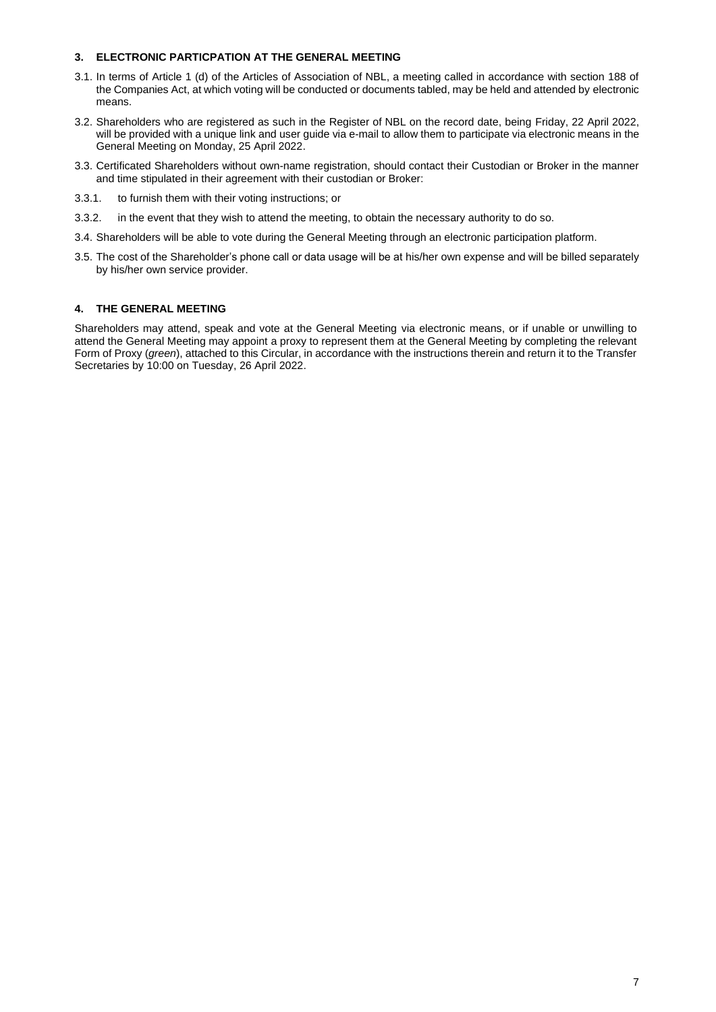## **3. ELECTRONIC PARTICPATION AT THE GENERAL MEETING**

- 3.1. In terms of Article 1 (d) of the Articles of Association of NBL, a meeting called in accordance with section 188 of the Companies Act, at which voting will be conducted or documents tabled, may be held and attended by electronic means.
- 3.2. Shareholders who are registered as such in the Register of NBL on the record date, being Friday, 22 April 2022, will be provided with a unique link and user guide via e-mail to allow them to participate via electronic means in the General Meeting on Monday, 25 April 2022.
- 3.3. Certificated Shareholders without own-name registration, should contact their Custodian or Broker in the manner and time stipulated in their agreement with their custodian or Broker:
- 3.3.1. to furnish them with their voting instructions; or
- 3.3.2. in the event that they wish to attend the meeting, to obtain the necessary authority to do so.
- 3.4. Shareholders will be able to vote during the General Meeting through an electronic participation platform.
- 3.5. The cost of the Shareholder's phone call or data usage will be at his/her own expense and will be billed separately by his/her own service provider.

## **4. THE GENERAL MEETING**

Shareholders may attend, speak and vote at the General Meeting via electronic means, or if unable or unwilling to attend the General Meeting may appoint a proxy to represent them at the General Meeting by completing the relevant Form of Proxy (*green*), attached to this Circular, in accordance with the instructions therein and return it to the Transfer Secretaries by 10:00 on Tuesday, 26 April 2022.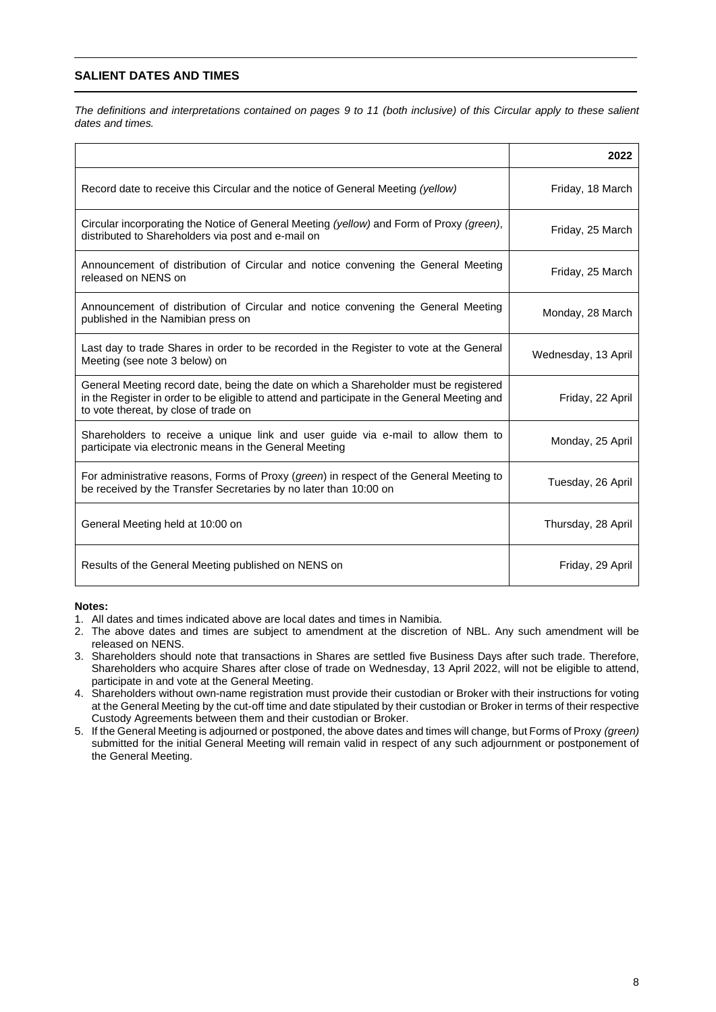## <span id="page-7-0"></span>**SALIENT DATES AND TIMES**

*The definitions and interpretations contained on pages 9 to 11 (both inclusive) of this Circular apply to these salient dates and times.*

|                                                                                                                                                                                                                                | 2022                |
|--------------------------------------------------------------------------------------------------------------------------------------------------------------------------------------------------------------------------------|---------------------|
| Record date to receive this Circular and the notice of General Meeting (yellow)                                                                                                                                                | Friday, 18 March    |
| Circular incorporating the Notice of General Meeting (yellow) and Form of Proxy (green),<br>distributed to Shareholders via post and e-mail on                                                                                 | Friday, 25 March    |
| Announcement of distribution of Circular and notice convening the General Meeting<br>released on NENS on                                                                                                                       | Friday, 25 March    |
| Announcement of distribution of Circular and notice convening the General Meeting<br>published in the Namibian press on                                                                                                        | Monday, 28 March    |
| Last day to trade Shares in order to be recorded in the Register to vote at the General<br>Meeting (see note 3 below) on                                                                                                       | Wednesday, 13 April |
| General Meeting record date, being the date on which a Shareholder must be registered<br>in the Register in order to be eligible to attend and participate in the General Meeting and<br>to vote thereat, by close of trade on | Friday, 22 April    |
| Shareholders to receive a unique link and user guide via e-mail to allow them to<br>participate via electronic means in the General Meeting                                                                                    | Monday, 25 April    |
| For administrative reasons, Forms of Proxy (green) in respect of the General Meeting to<br>be received by the Transfer Secretaries by no later than 10:00 on                                                                   | Tuesday, 26 April   |
| General Meeting held at 10:00 on                                                                                                                                                                                               | Thursday, 28 April  |
| Results of the General Meeting published on NENS on                                                                                                                                                                            | Friday, 29 April    |

## **Notes:**

- 1. All dates and times indicated above are local dates and times in Namibia.
- 2. The above dates and times are subject to amendment at the discretion of NBL. Any such amendment will be released on NENS.
- 3. Shareholders should note that transactions in Shares are settled five Business Days after such trade. Therefore, Shareholders who acquire Shares after close of trade on Wednesday, 13 April 2022, will not be eligible to attend, participate in and vote at the General Meeting.
- 4. Shareholders without own-name registration must provide their custodian or Broker with their instructions for voting at the General Meeting by the cut-off time and date stipulated by their custodian or Broker in terms of their respective Custody Agreements between them and their custodian or Broker.
- 5. If the General Meeting is adjourned or postponed, the above dates and times will change, but Forms of Proxy *(green)* submitted for the initial General Meeting will remain valid in respect of any such adjournment or postponement of the General Meeting.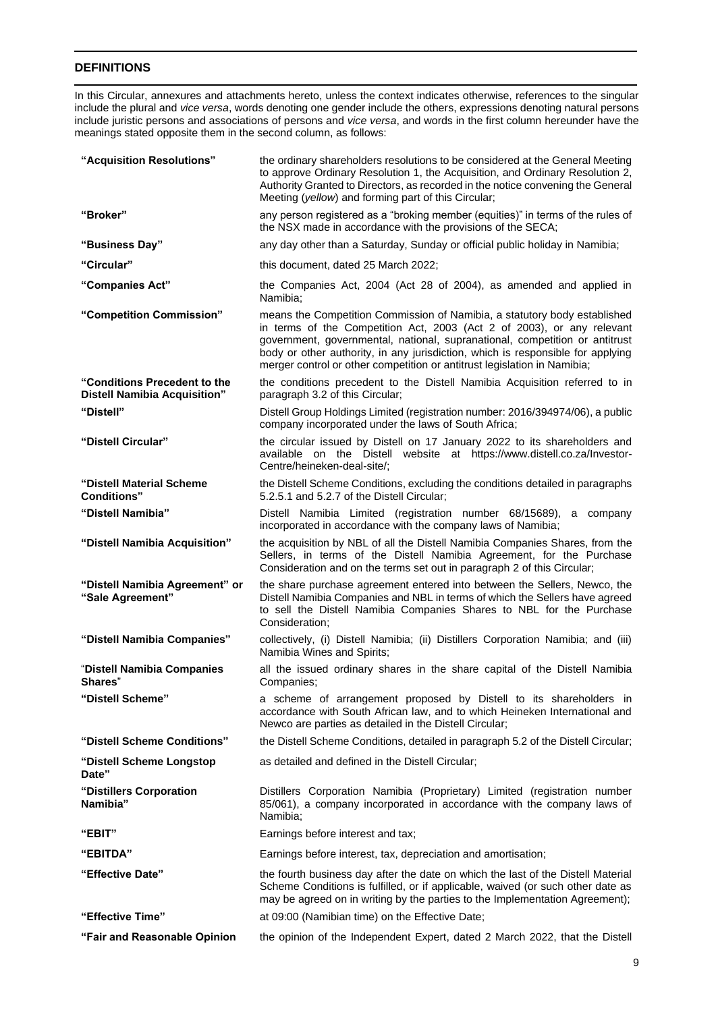## <span id="page-8-0"></span>**DEFINITIONS**

In this Circular, annexures and attachments hereto, unless the context indicates otherwise, references to the singular include the plural and *vice versa*, words denoting one gender include the others, expressions denoting natural persons include juristic persons and associations of persons and *vice versa*, and words in the first column hereunder have the meanings stated opposite them in the second column, as follows:

| "Acquisition Resolutions"                                           | the ordinary shareholders resolutions to be considered at the General Meeting<br>to approve Ordinary Resolution 1, the Acquisition, and Ordinary Resolution 2,<br>Authority Granted to Directors, as recorded in the notice convening the General<br>Meeting (yellow) and forming part of this Circular;                                                                                          |  |  |
|---------------------------------------------------------------------|---------------------------------------------------------------------------------------------------------------------------------------------------------------------------------------------------------------------------------------------------------------------------------------------------------------------------------------------------------------------------------------------------|--|--|
| "Broker"                                                            | any person registered as a "broking member (equities)" in terms of the rules of<br>the NSX made in accordance with the provisions of the SECA;                                                                                                                                                                                                                                                    |  |  |
| "Business Day"                                                      | any day other than a Saturday, Sunday or official public holiday in Namibia;                                                                                                                                                                                                                                                                                                                      |  |  |
| "Circular"                                                          | this document, dated 25 March 2022;                                                                                                                                                                                                                                                                                                                                                               |  |  |
| "Companies Act"                                                     | the Companies Act, 2004 (Act 28 of 2004), as amended and applied in<br>Namibia;                                                                                                                                                                                                                                                                                                                   |  |  |
| "Competition Commission"                                            | means the Competition Commission of Namibia, a statutory body established<br>in terms of the Competition Act, 2003 (Act 2 of 2003), or any relevant<br>government, governmental, national, supranational, competition or antitrust<br>body or other authority, in any jurisdiction, which is responsible for applying<br>merger control or other competition or antitrust legislation in Namibia; |  |  |
| "Conditions Precedent to the<br><b>Distell Namibia Acquisition"</b> | the conditions precedent to the Distell Namibia Acquisition referred to in<br>paragraph 3.2 of this Circular;                                                                                                                                                                                                                                                                                     |  |  |
| "Distell"                                                           | Distell Group Holdings Limited (registration number: 2016/394974/06), a public<br>company incorporated under the laws of South Africa;                                                                                                                                                                                                                                                            |  |  |
| "Distell Circular"                                                  | the circular issued by Distell on 17 January 2022 to its shareholders and<br>available on the Distell website at https://www.distell.co.za/Investor-<br>Centre/heineken-deal-site/;                                                                                                                                                                                                               |  |  |
| "Distell Material Scheme<br><b>Conditions</b> "                     | the Distell Scheme Conditions, excluding the conditions detailed in paragraphs<br>5.2.5.1 and 5.2.7 of the Distell Circular;                                                                                                                                                                                                                                                                      |  |  |
| "Distell Namibia"                                                   | Distell Namibia Limited (registration number 68/15689), a company<br>incorporated in accordance with the company laws of Namibia;                                                                                                                                                                                                                                                                 |  |  |
| "Distell Namibia Acquisition"                                       | the acquisition by NBL of all the Distell Namibia Companies Shares, from the<br>Sellers, in terms of the Distell Namibia Agreement, for the Purchase<br>Consideration and on the terms set out in paragraph 2 of this Circular;                                                                                                                                                                   |  |  |
| "Distell Namibia Agreement" or<br>"Sale Agreement"                  | the share purchase agreement entered into between the Sellers, Newco, the<br>Distell Namibia Companies and NBL in terms of which the Sellers have agreed<br>to sell the Distell Namibia Companies Shares to NBL for the Purchase<br>Consideration;                                                                                                                                                |  |  |
| "Distell Namibia Companies"                                         | collectively, (i) Distell Namibia; (ii) Distillers Corporation Namibia; and (iii)<br>Namibia Wines and Spirits;                                                                                                                                                                                                                                                                                   |  |  |
| "Distell Namibia Companies<br>Shares"                               | all the issued ordinary shares in the share capital of the Distell Namibia<br>Companies;                                                                                                                                                                                                                                                                                                          |  |  |
| "Distell Scheme"                                                    | a scheme of arrangement proposed by Distell to its shareholders in<br>accordance with South African law, and to which Heineken International and<br>Newco are parties as detailed in the Distell Circular;                                                                                                                                                                                        |  |  |
| "Distell Scheme Conditions"                                         | the Distell Scheme Conditions, detailed in paragraph 5.2 of the Distell Circular;                                                                                                                                                                                                                                                                                                                 |  |  |
| "Distell Scheme Longstop<br>Date"                                   | as detailed and defined in the Distell Circular;                                                                                                                                                                                                                                                                                                                                                  |  |  |
| "Distillers Corporation<br>Namibia"                                 | Distillers Corporation Namibia (Proprietary) Limited (registration number<br>85/061), a company incorporated in accordance with the company laws of<br>Namibia;                                                                                                                                                                                                                                   |  |  |
| "EBIT"                                                              | Earnings before interest and tax;                                                                                                                                                                                                                                                                                                                                                                 |  |  |
| "EBITDA"                                                            | Earnings before interest, tax, depreciation and amortisation;                                                                                                                                                                                                                                                                                                                                     |  |  |
| "Effective Date"                                                    | the fourth business day after the date on which the last of the Distell Material<br>Scheme Conditions is fulfilled, or if applicable, waived (or such other date as<br>may be agreed on in writing by the parties to the Implementation Agreement);                                                                                                                                               |  |  |
| "Effective Time"                                                    | at 09:00 (Namibian time) on the Effective Date;                                                                                                                                                                                                                                                                                                                                                   |  |  |
| "Fair and Reasonable Opinion                                        | the opinion of the Independent Expert, dated 2 March 2022, that the Distell                                                                                                                                                                                                                                                                                                                       |  |  |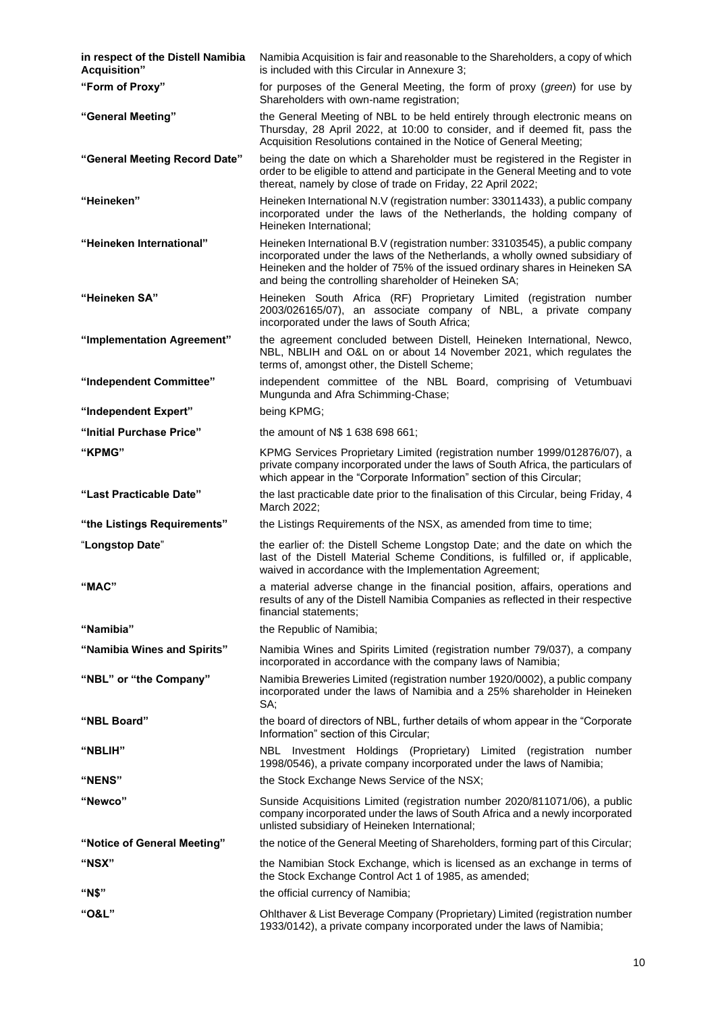| in respect of the Distell Namibia<br><b>Acquisition</b> " | Namibia Acquisition is fair and reasonable to the Shareholders, a copy of which<br>is included with this Circular in Annexure 3;                                                                                                                                                                     |
|-----------------------------------------------------------|------------------------------------------------------------------------------------------------------------------------------------------------------------------------------------------------------------------------------------------------------------------------------------------------------|
| "Form of Proxy"                                           | for purposes of the General Meeting, the form of proxy (green) for use by<br>Shareholders with own-name registration;                                                                                                                                                                                |
| "General Meeting"                                         | the General Meeting of NBL to be held entirely through electronic means on<br>Thursday, 28 April 2022, at 10:00 to consider, and if deemed fit, pass the<br>Acquisition Resolutions contained in the Notice of General Meeting;                                                                      |
| "General Meeting Record Date"                             | being the date on which a Shareholder must be registered in the Register in<br>order to be eligible to attend and participate in the General Meeting and to vote<br>thereat, namely by close of trade on Friday, 22 April 2022;                                                                      |
| "Heineken"                                                | Heineken International N.V (registration number: 33011433), a public company<br>incorporated under the laws of the Netherlands, the holding company of<br>Heineken International;                                                                                                                    |
| "Heineken International"                                  | Heineken International B.V (registration number: 33103545), a public company<br>incorporated under the laws of the Netherlands, a wholly owned subsidiary of<br>Heineken and the holder of 75% of the issued ordinary shares in Heineken SA<br>and being the controlling shareholder of Heineken SA; |
| "Heineken SA"                                             | Heineken South Africa (RF) Proprietary Limited (registration number<br>2003/026165/07), an associate company of NBL, a private company<br>incorporated under the laws of South Africa;                                                                                                               |
| "Implementation Agreement"                                | the agreement concluded between Distell, Heineken International, Newco,<br>NBL, NBLIH and O&L on or about 14 November 2021, which regulates the<br>terms of, amongst other, the Distell Scheme;                                                                                                      |
| "Independent Committee"                                   | independent committee of the NBL Board, comprising of Vetumbuavi<br>Mungunda and Afra Schimming-Chase;                                                                                                                                                                                               |
| "Independent Expert"                                      | being KPMG;                                                                                                                                                                                                                                                                                          |
| "Initial Purchase Price"                                  | the amount of N\$ 1 638 698 661;                                                                                                                                                                                                                                                                     |
| "KPMG"                                                    | KPMG Services Proprietary Limited (registration number 1999/012876/07), a<br>private company incorporated under the laws of South Africa, the particulars of<br>which appear in the "Corporate Information" section of this Circular;                                                                |
| "Last Practicable Date"                                   | the last practicable date prior to the finalisation of this Circular, being Friday, 4<br>March 2022;                                                                                                                                                                                                 |
| "the Listings Requirements"                               | the Listings Requirements of the NSX, as amended from time to time;                                                                                                                                                                                                                                  |
| "Longstop Date"                                           | the earlier of: the Distell Scheme Longstop Date; and the date on which the<br>last of the Distell Material Scheme Conditions, is fulfilled or, if applicable,<br>waived in accordance with the Implementation Agreement;                                                                            |
| "MAC"                                                     | a material adverse change in the financial position, affairs, operations and<br>results of any of the Distell Namibia Companies as reflected in their respective<br>financial statements;                                                                                                            |
| "Namibia"                                                 | the Republic of Namibia;                                                                                                                                                                                                                                                                             |
| "Namibia Wines and Spirits"                               | Namibia Wines and Spirits Limited (registration number 79/037), a company<br>incorporated in accordance with the company laws of Namibia;                                                                                                                                                            |
| "NBL" or "the Company"                                    | Namibia Breweries Limited (registration number 1920/0002), a public company<br>incorporated under the laws of Namibia and a 25% shareholder in Heineken<br>SA;                                                                                                                                       |
| "NBL Board"                                               | the board of directors of NBL, further details of whom appear in the "Corporate<br>Information" section of this Circular;                                                                                                                                                                            |
| "NBLIH"                                                   | NBL Investment Holdings (Proprietary) Limited (registration number<br>1998/0546), a private company incorporated under the laws of Namibia;                                                                                                                                                          |
| "NENS"                                                    | the Stock Exchange News Service of the NSX;                                                                                                                                                                                                                                                          |
| "Newco"                                                   | Sunside Acquisitions Limited (registration number 2020/811071/06), a public<br>company incorporated under the laws of South Africa and a newly incorporated<br>unlisted subsidiary of Heineken International;                                                                                        |
| "Notice of General Meeting"                               | the notice of the General Meeting of Shareholders, forming part of this Circular;                                                                                                                                                                                                                    |
| "NSX"                                                     | the Namibian Stock Exchange, which is licensed as an exchange in terms of<br>the Stock Exchange Control Act 1 of 1985, as amended;                                                                                                                                                                   |
| "N\$"                                                     | the official currency of Namibia;                                                                                                                                                                                                                                                                    |
| "O&L"                                                     | Ohlthaver & List Beverage Company (Proprietary) Limited (registration number<br>1933/0142), a private company incorporated under the laws of Namibia;                                                                                                                                                |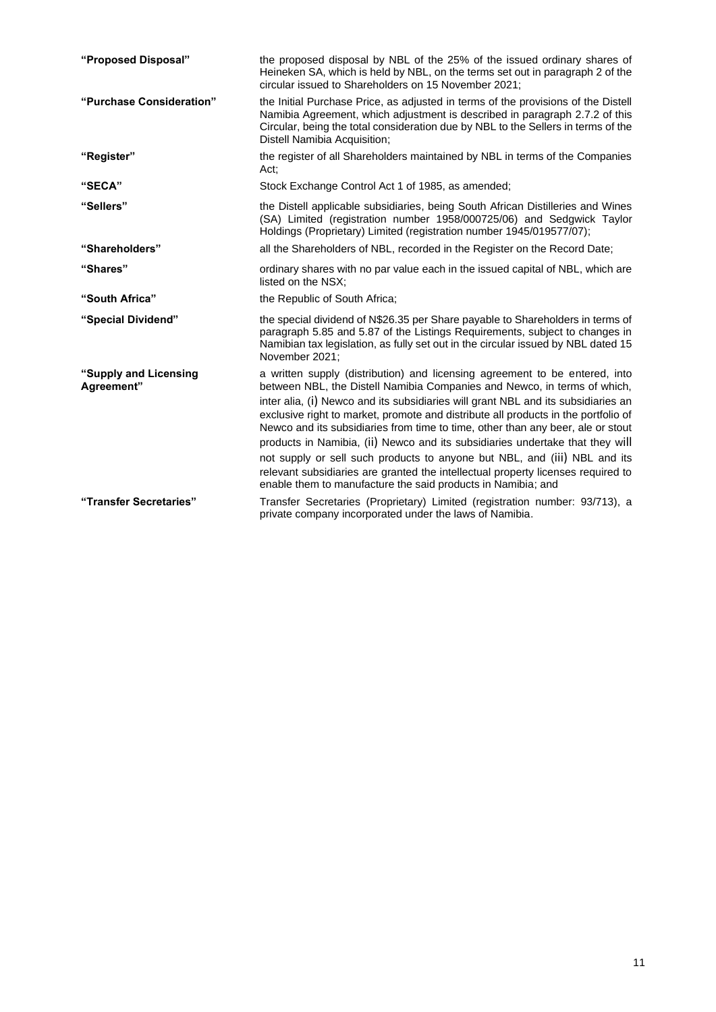| "Proposed Disposal"                 | the proposed disposal by NBL of the 25% of the issued ordinary shares of<br>Heineken SA, which is held by NBL, on the terms set out in paragraph 2 of the<br>circular issued to Shareholders on 15 November 2021;                                                                                                                                                                                                                                                                                                                                                                                                                                                       |
|-------------------------------------|-------------------------------------------------------------------------------------------------------------------------------------------------------------------------------------------------------------------------------------------------------------------------------------------------------------------------------------------------------------------------------------------------------------------------------------------------------------------------------------------------------------------------------------------------------------------------------------------------------------------------------------------------------------------------|
| "Purchase Consideration"            | the Initial Purchase Price, as adjusted in terms of the provisions of the Distell<br>Namibia Agreement, which adjustment is described in paragraph 2.7.2 of this<br>Circular, being the total consideration due by NBL to the Sellers in terms of the<br>Distell Namibia Acquisition;                                                                                                                                                                                                                                                                                                                                                                                   |
| "Register"                          | the register of all Shareholders maintained by NBL in terms of the Companies<br>Act:                                                                                                                                                                                                                                                                                                                                                                                                                                                                                                                                                                                    |
| "SECA"                              | Stock Exchange Control Act 1 of 1985, as amended;                                                                                                                                                                                                                                                                                                                                                                                                                                                                                                                                                                                                                       |
| "Sellers"                           | the Distell applicable subsidiaries, being South African Distilleries and Wines<br>(SA) Limited (registration number 1958/000725/06) and Sedgwick Taylor<br>Holdings (Proprietary) Limited (registration number 1945/019577/07);                                                                                                                                                                                                                                                                                                                                                                                                                                        |
| "Shareholders"                      | all the Shareholders of NBL, recorded in the Register on the Record Date;                                                                                                                                                                                                                                                                                                                                                                                                                                                                                                                                                                                               |
| "Shares"                            | ordinary shares with no par value each in the issued capital of NBL, which are<br>listed on the NSX:                                                                                                                                                                                                                                                                                                                                                                                                                                                                                                                                                                    |
| "South Africa"                      | the Republic of South Africa;                                                                                                                                                                                                                                                                                                                                                                                                                                                                                                                                                                                                                                           |
| "Special Dividend"                  | the special dividend of N\$26.35 per Share payable to Shareholders in terms of<br>paragraph 5.85 and 5.87 of the Listings Requirements, subject to changes in<br>Namibian tax legislation, as fully set out in the circular issued by NBL dated 15<br>November 2021:                                                                                                                                                                                                                                                                                                                                                                                                    |
| "Supply and Licensing<br>Agreement" | a written supply (distribution) and licensing agreement to be entered, into<br>between NBL, the Distell Namibia Companies and Newco, in terms of which,<br>inter alia, (i) Newco and its subsidiaries will grant NBL and its subsidiaries an<br>exclusive right to market, promote and distribute all products in the portfolio of<br>Newco and its subsidiaries from time to time, other than any beer, ale or stout<br>products in Namibia, (ii) Newco and its subsidiaries undertake that they will<br>not supply or sell such products to anyone but NBL, and (iii) NBL and its<br>relevant subsidiaries are granted the intellectual property licenses required to |
|                                     | enable them to manufacture the said products in Namibia; and                                                                                                                                                                                                                                                                                                                                                                                                                                                                                                                                                                                                            |
| "Transfer Secretaries"              | Transfer Secretaries (Proprietary) Limited (registration number: 93/713), a<br>private company incorporated under the laws of Namibia.                                                                                                                                                                                                                                                                                                                                                                                                                                                                                                                                  |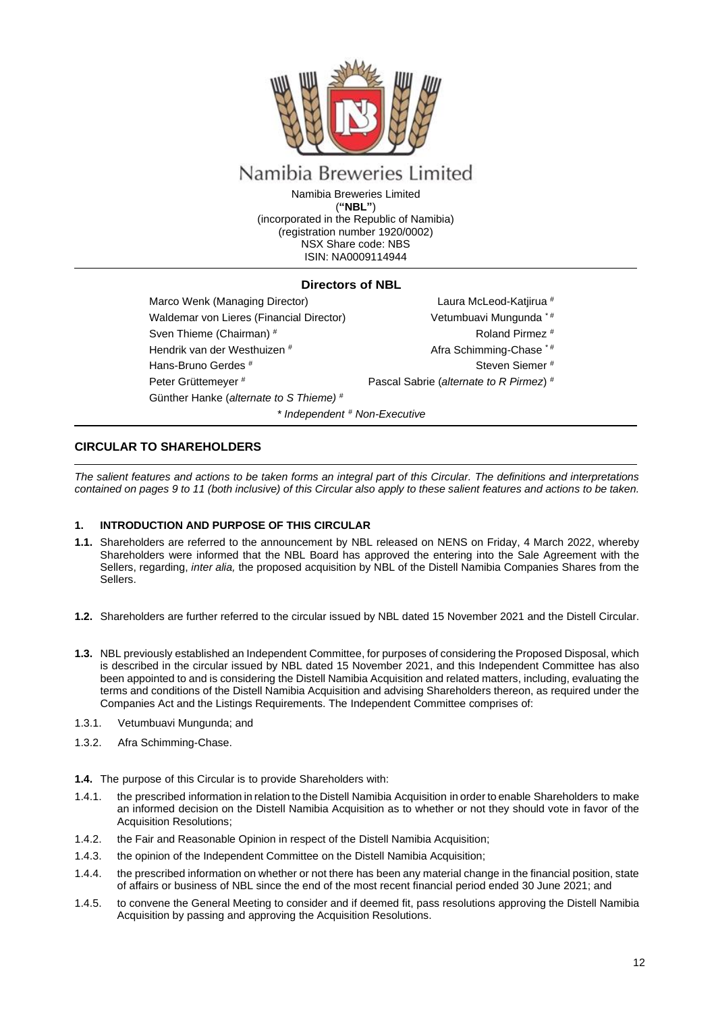

# Namibia Breweries Limited

Namibia Breweries Limited (**"NBL"**) (incorporated in the Republic of Namibia) (registration number 1920/0002) NSX Share code: NBS ISIN: NA0009114944

## **Directors of NBL**

Marco Wenk (Managing Director) Waldemar von Lieres (Financial Director) Sven Thieme (Chairman) # Hendrik van der Westhuizen # Hans-Bruno Gerdes # Peter Grüttemeyer # Günther Hanke (*alternate to S Thieme)* # *\* Independent # Non-Executive*

Laura McLeod-Katjirua # Vetumbuavi Mungunda \* #

- Roland Pirmez #
- Afra Schimming-Chase \* #
	- Steven Siemer #

Pascal Sabrie (*alternate to R Pirmez*) #

## <span id="page-11-0"></span>**CIRCULAR TO SHAREHOLDERS**

*The salient features and actions to be taken forms an integral part of this Circular. The definitions and interpretations contained on pages 9 to 11 (both inclusive) of this Circular also apply to these salient features and actions to be taken.*

## <span id="page-11-1"></span>**1. INTRODUCTION AND PURPOSE OF THIS CIRCULAR**

- **1.1.** Shareholders are referred to the announcement by NBL released on NENS on Friday, 4 March 2022, whereby Shareholders were informed that the NBL Board has approved the entering into the Sale Agreement with the Sellers, regarding, *inter alia,* the proposed acquisition by NBL of the Distell Namibia Companies Shares from the Sellers.
- **1.2.** Shareholders are further referred to the circular issued by NBL dated 15 November 2021 and the Distell Circular.
- **1.3.** NBL previously established an Independent Committee, for purposes of considering the Proposed Disposal, which is described in the circular issued by NBL dated 15 November 2021, and this Independent Committee has also been appointed to and is considering the Distell Namibia Acquisition and related matters, including, evaluating the terms and conditions of the Distell Namibia Acquisition and advising Shareholders thereon, as required under the Companies Act and the Listings Requirements. The Independent Committee comprises of:
- 1.3.1. Vetumbuavi Mungunda; and
- 1.3.2. Afra Schimming-Chase.
- **1.4.** The purpose of this Circular is to provide Shareholders with:
- 1.4.1. the prescribed information in relation to the Distell Namibia Acquisition in order to enable Shareholders to make an informed decision on the Distell Namibia Acquisition as to whether or not they should vote in favor of the Acquisition Resolutions;
- 1.4.2. the Fair and Reasonable Opinion in respect of the Distell Namibia Acquisition;
- 1.4.3. the opinion of the Independent Committee on the Distell Namibia Acquisition;
- 1.4.4. the prescribed information on whether or not there has been any material change in the financial position, state of affairs or business of NBL since the end of the most recent financial period ended 30 June 2021; and
- 1.4.5. to convene the General Meeting to consider and if deemed fit, pass resolutions approving the Distell Namibia Acquisition by passing and approving the Acquisition Resolutions.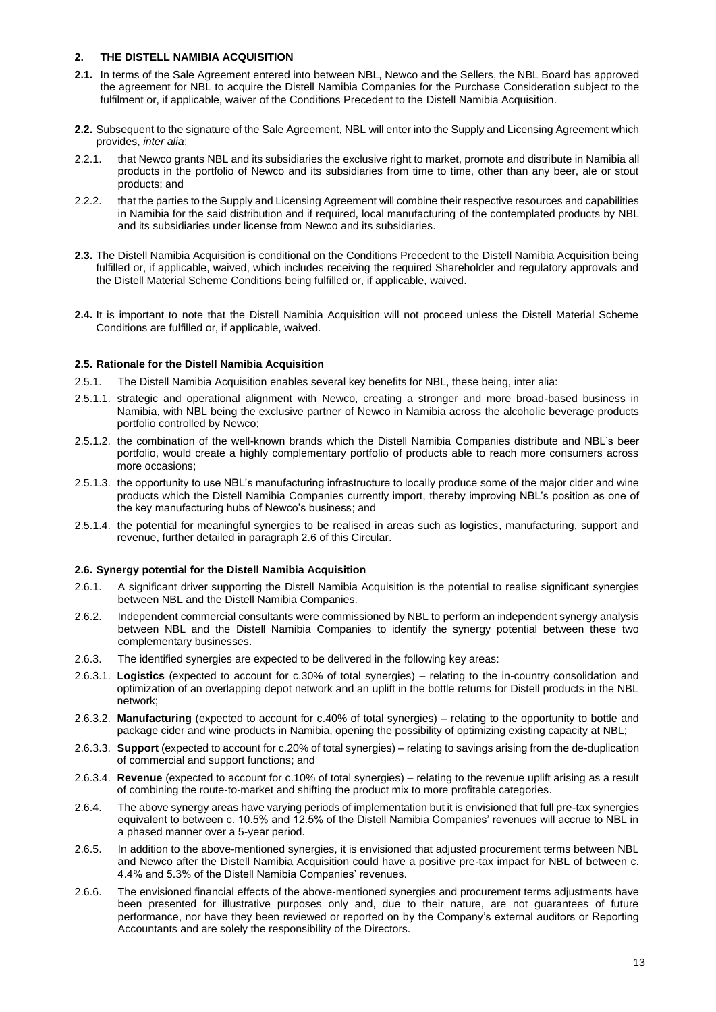## <span id="page-12-0"></span>**2. THE DISTELL NAMIBIA ACQUISITION**

- **2.1.** In terms of the Sale Agreement entered into between NBL, Newco and the Sellers, the NBL Board has approved the agreement for NBL to acquire the Distell Namibia Companies for the Purchase Consideration subject to the fulfilment or, if applicable, waiver of the Conditions Precedent to the Distell Namibia Acquisition.
- **2.2.** Subsequent to the signature of the Sale Agreement, NBL will enter into the Supply and Licensing Agreement which provides, *inter alia*:
- 2.2.1. that Newco grants NBL and its subsidiaries the exclusive right to market, promote and distribute in Namibia all products in the portfolio of Newco and its subsidiaries from time to time, other than any beer, ale or stout products; and
- 2.2.2. that the parties to the Supply and Licensing Agreement will combine their respective resources and capabilities in Namibia for the said distribution and if required, local manufacturing of the contemplated products by NBL and its subsidiaries under license from Newco and its subsidiaries.
- **2.3.** The Distell Namibia Acquisition is conditional on the Conditions Precedent to the Distell Namibia Acquisition being fulfilled or, if applicable, waived, which includes receiving the required Shareholder and regulatory approvals and the Distell Material Scheme Conditions being fulfilled or, if applicable, waived.
- **2.4.** It is important to note that the Distell Namibia Acquisition will not proceed unless the Distell Material Scheme Conditions are fulfilled or, if applicable, waived.

## **2.5. Rationale for the Distell Namibia Acquisition**

- 2.5.1. The Distell Namibia Acquisition enables several key benefits for NBL, these being, inter alia:
- 2.5.1.1. strategic and operational alignment with Newco, creating a stronger and more broad-based business in Namibia, with NBL being the exclusive partner of Newco in Namibia across the alcoholic beverage products portfolio controlled by Newco;
- 2.5.1.2. the combination of the well-known brands which the Distell Namibia Companies distribute and NBL's beer portfolio, would create a highly complementary portfolio of products able to reach more consumers across more occasions;
- 2.5.1.3. the opportunity to use NBL's manufacturing infrastructure to locally produce some of the major cider and wine products which the Distell Namibia Companies currently import, thereby improving NBL's position as one of the key manufacturing hubs of Newco's business; and
- 2.5.1.4. the potential for meaningful synergies to be realised in areas such as logistics, manufacturing, support and revenue, further detailed in paragraph 2.6 of this Circular.

## **2.6. Synergy potential for the Distell Namibia Acquisition**

- 2.6.1. A significant driver supporting the Distell Namibia Acquisition is the potential to realise significant synergies between NBL and the Distell Namibia Companies.
- 2.6.2. Independent commercial consultants were commissioned by NBL to perform an independent synergy analysis between NBL and the Distell Namibia Companies to identify the synergy potential between these two complementary businesses.
- 2.6.3. The identified synergies are expected to be delivered in the following key areas:
- 2.6.3.1. **Logistics** (expected to account for c.30% of total synergies) relating to the in-country consolidation and optimization of an overlapping depot network and an uplift in the bottle returns for Distell products in the NBL network;
- 2.6.3.2. **Manufacturing** (expected to account for c.40% of total synergies) relating to the opportunity to bottle and package cider and wine products in Namibia, opening the possibility of optimizing existing capacity at NBL;
- 2.6.3.3. **Support** (expected to account for c.20% of total synergies) relating to savings arising from the de-duplication of commercial and support functions; and
- 2.6.3.4. **Revenue** (expected to account for c.10% of total synergies) relating to the revenue uplift arising as a result of combining the route-to-market and shifting the product mix to more profitable categories.
- 2.6.4. The above synergy areas have varying periods of implementation but it is envisioned that full pre-tax synergies equivalent to between c. 10.5% and 12.5% of the Distell Namibia Companies' revenues will accrue to NBL in a phased manner over a 5-year period.
- 2.6.5. In addition to the above-mentioned synergies, it is envisioned that adjusted procurement terms between NBL and Newco after the Distell Namibia Acquisition could have a positive pre-tax impact for NBL of between c. 4.4% and 5.3% of the Distell Namibia Companies' revenues.
- 2.6.6. The envisioned financial effects of the above-mentioned synergies and procurement terms adjustments have been presented for illustrative purposes only and, due to their nature, are not guarantees of future performance, nor have they been reviewed or reported on by the Company's external auditors or Reporting Accountants and are solely the responsibility of the Directors.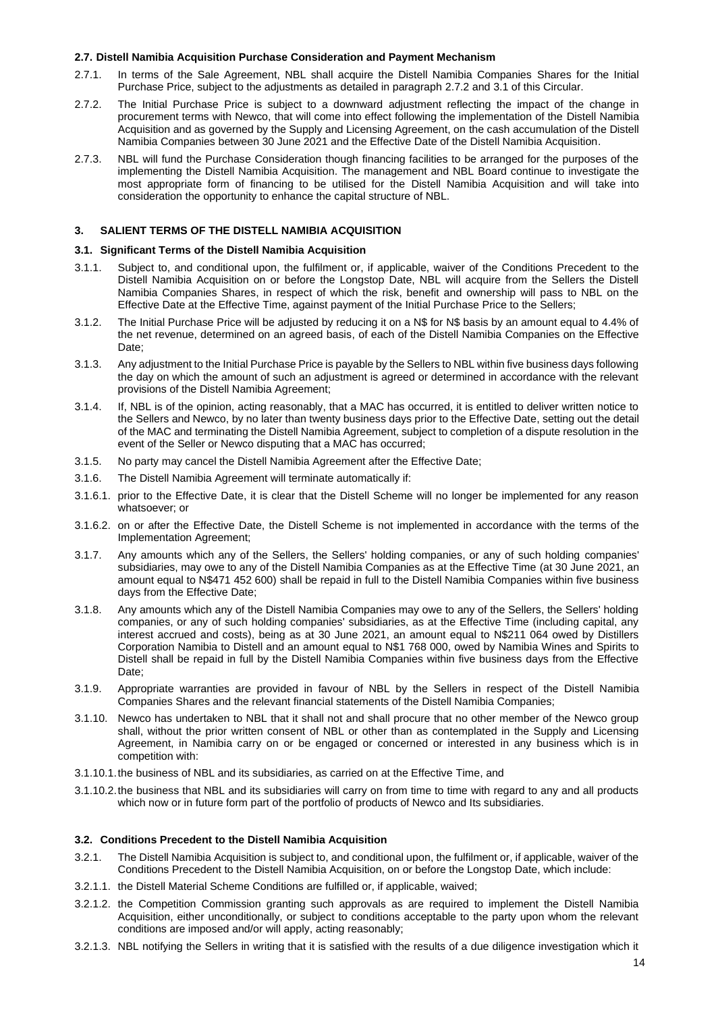## **2.7. Distell Namibia Acquisition Purchase Consideration and Payment Mechanism**

- 2.7.1. In terms of the Sale Agreement, NBL shall acquire the Distell Namibia Companies Shares for the Initial Purchase Price, subject to the adjustments as detailed in paragraph 2.7.2 and 3.1 of this Circular.
- 2.7.2. The Initial Purchase Price is subject to a downward adjustment reflecting the impact of the change in procurement terms with Newco, that will come into effect following the implementation of the Distell Namibia Acquisition and as governed by the Supply and Licensing Agreement, on the cash accumulation of the Distell Namibia Companies between 30 June 2021 and the Effective Date of the Distell Namibia Acquisition.
- 2.7.3. NBL will fund the Purchase Consideration though financing facilities to be arranged for the purposes of the implementing the Distell Namibia Acquisition. The management and NBL Board continue to investigate the most appropriate form of financing to be utilised for the Distell Namibia Acquisition and will take into consideration the opportunity to enhance the capital structure of NBL.

## <span id="page-13-0"></span>**3. SALIENT TERMS OF THE DISTELL NAMIBIA ACQUISITION**

## **3.1. Significant Terms of the Distell Namibia Acquisition**

- 3.1.1. Subject to, and conditional upon, the fulfilment or, if applicable, waiver of the Conditions Precedent to the Distell Namibia Acquisition on or before the Longstop Date, NBL will acquire from the Sellers the Distell Namibia Companies Shares, in respect of which the risk, benefit and ownership will pass to NBL on the Effective Date at the Effective Time, against payment of the Initial Purchase Price to the Sellers;
- 3.1.2. The Initial Purchase Price will be adjusted by reducing it on a N\$ for N\$ basis by an amount equal to 4.4% of the net revenue, determined on an agreed basis, of each of the Distell Namibia Companies on the Effective Date;
- 3.1.3. Any adjustment to the Initial Purchase Price is payable by the Sellers to NBL within five business days following the day on which the amount of such an adjustment is agreed or determined in accordance with the relevant provisions of the Distell Namibia Agreement;
- 3.1.4. If, NBL is of the opinion, acting reasonably, that a MAC has occurred, it is entitled to deliver written notice to the Sellers and Newco, by no later than twenty business days prior to the Effective Date, setting out the detail of the MAC and terminating the Distell Namibia Agreement, subject to completion of a dispute resolution in the event of the Seller or Newco disputing that a MAC has occurred;
- 3.1.5. No party may cancel the Distell Namibia Agreement after the Effective Date;
- 3.1.6. The Distell Namibia Agreement will terminate automatically if:
- 3.1.6.1. prior to the Effective Date, it is clear that the Distell Scheme will no longer be implemented for any reason whatsoever; or
- 3.1.6.2. on or after the Effective Date, the Distell Scheme is not implemented in accordance with the terms of the Implementation Agreement;
- 3.1.7. Any amounts which any of the Sellers, the Sellers' holding companies, or any of such holding companies' subsidiaries, may owe to any of the Distell Namibia Companies as at the Effective Time (at 30 June 2021, an amount equal to N\$471 452 600) shall be repaid in full to the Distell Namibia Companies within five business days from the Effective Date;
- 3.1.8. Any amounts which any of the Distell Namibia Companies may owe to any of the Sellers, the Sellers' holding companies, or any of such holding companies' subsidiaries, as at the Effective Time (including capital, any interest accrued and costs), being as at 30 June 2021, an amount equal to N\$211 064 owed by Distillers Corporation Namibia to Distell and an amount equal to N\$1 768 000, owed by Namibia Wines and Spirits to Distell shall be repaid in full by the Distell Namibia Companies within five business days from the Effective Date;
- 3.1.9. Appropriate warranties are provided in favour of NBL by the Sellers in respect of the Distell Namibia Companies Shares and the relevant financial statements of the Distell Namibia Companies;
- 3.1.10. Newco has undertaken to NBL that it shall not and shall procure that no other member of the Newco group shall, without the prior written consent of NBL or other than as contemplated in the Supply and Licensing Agreement, in Namibia carry on or be engaged or concerned or interested in any business which is in competition with:
- 3.1.10.1.the business of NBL and its subsidiaries, as carried on at the Effective Time, and
- 3.1.10.2.the business that NBL and its subsidiaries will carry on from time to time with regard to any and all products which now or in future form part of the portfolio of products of Newco and Its subsidiaries.

## **3.2. Conditions Precedent to the Distell Namibia Acquisition**

- 3.2.1. The Distell Namibia Acquisition is subject to, and conditional upon, the fulfilment or, if applicable, waiver of the Conditions Precedent to the Distell Namibia Acquisition, on or before the Longstop Date, which include:
- 3.2.1.1. the Distell Material Scheme Conditions are fulfilled or, if applicable, waived;
- 3.2.1.2. the Competition Commission granting such approvals as are required to implement the Distell Namibia Acquisition, either unconditionally, or subject to conditions acceptable to the party upon whom the relevant conditions are imposed and/or will apply, acting reasonably;
- 3.2.1.3. NBL notifying the Sellers in writing that it is satisfied with the results of a due diligence investigation which it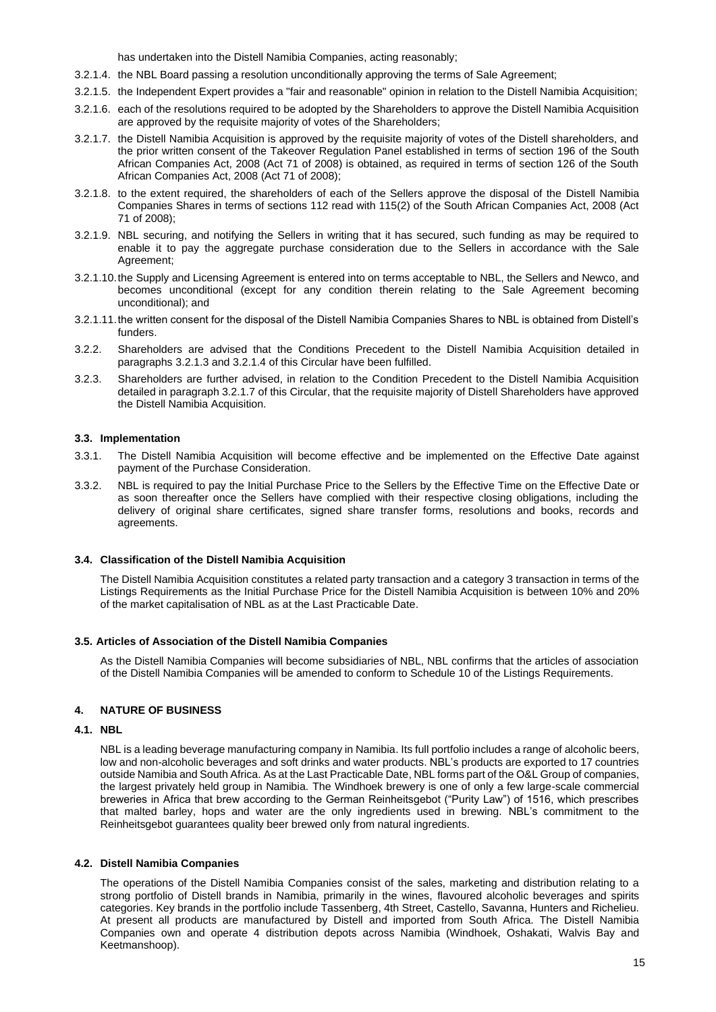has undertaken into the Distell Namibia Companies, acting reasonably;

- 3.2.1.4. the NBL Board passing a resolution unconditionally approving the terms of Sale Agreement;
- 3.2.1.5. the Independent Expert provides a "fair and reasonable" opinion in relation to the Distell Namibia Acquisition;
- 3.2.1.6. each of the resolutions required to be adopted by the Shareholders to approve the Distell Namibia Acquisition are approved by the requisite majority of votes of the Shareholders;
- 3.2.1.7. the Distell Namibia Acquisition is approved by the requisite majority of votes of the Distell shareholders, and the prior written consent of the Takeover Regulation Panel established in terms of section 196 of the South African Companies Act, 2008 (Act 71 of 2008) is obtained, as required in terms of section 126 of the South African Companies Act, 2008 (Act 71 of 2008);
- 3.2.1.8. to the extent required, the shareholders of each of the Sellers approve the disposal of the Distell Namibia Companies Shares in terms of sections 112 read with 115(2) of the South African Companies Act, 2008 (Act 71 of 2008);
- 3.2.1.9. NBL securing, and notifying the Sellers in writing that it has secured, such funding as may be required to enable it to pay the aggregate purchase consideration due to the Sellers in accordance with the Sale Agreement;
- 3.2.1.10.the Supply and Licensing Agreement is entered into on terms acceptable to NBL, the Sellers and Newco, and becomes unconditional (except for any condition therein relating to the Sale Agreement becoming unconditional); and
- 3.2.1.11.the written consent for the disposal of the Distell Namibia Companies Shares to NBL is obtained from Distell's funders.
- 3.2.2. Shareholders are advised that the Conditions Precedent to the Distell Namibia Acquisition detailed in paragraphs 3.2.1.3 and 3.2.1.4 of this Circular have been fulfilled.
- 3.2.3. Shareholders are further advised, in relation to the Condition Precedent to the Distell Namibia Acquisition detailed in paragraph 3.2.1.7 of this Circular, that the requisite majority of Distell Shareholders have approved the Distell Namibia Acquisition.

## **3.3. Implementation**

- 3.3.1. The Distell Namibia Acquisition will become effective and be implemented on the Effective Date against payment of the Purchase Consideration.
- 3.3.2. NBL is required to pay the Initial Purchase Price to the Sellers by the Effective Time on the Effective Date or as soon thereafter once the Sellers have complied with their respective closing obligations, including the delivery of original share certificates, signed share transfer forms, resolutions and books, records and agreements.

## **3.4. Classification of the Distell Namibia Acquisition**

The Distell Namibia Acquisition constitutes a related party transaction and a category 3 transaction in terms of the Listings Requirements as the Initial Purchase Price for the Distell Namibia Acquisition is between 10% and 20% of the market capitalisation of NBL as at the Last Practicable Date.

## **3.5. Articles of Association of the Distell Namibia Companies**

As the Distell Namibia Companies will become subsidiaries of NBL, NBL confirms that the articles of association of the Distell Namibia Companies will be amended to conform to Schedule 10 of the Listings Requirements.

## <span id="page-14-0"></span>**4. NATURE OF BUSINESS**

## **4.1. NBL**

NBL is a leading beverage manufacturing company in Namibia. Its full portfolio includes a range of alcoholic beers, low and non-alcoholic beverages and soft drinks and water products. NBL's products are exported to 17 countries outside Namibia and South Africa. As at the Last Practicable Date, NBL forms part of the O&L Group of companies, the largest privately held group in Namibia. The Windhoek brewery is one of only a few large-scale commercial breweries in Africa that brew according to the German Reinheitsgebot ("Purity Law") of 1516, which prescribes that malted barley, hops and water are the only ingredients used in brewing. NBL's commitment to the Reinheitsgebot guarantees quality beer brewed only from natural ingredients.

## **4.2. Distell Namibia Companies**

The operations of the Distell Namibia Companies consist of the sales, marketing and distribution relating to a strong portfolio of Distell brands in Namibia, primarily in the wines, flavoured alcoholic beverages and spirits categories. Key brands in the portfolio include Tassenberg, 4th Street, Castello, Savanna, Hunters and Richelieu. At present all products are manufactured by Distell and imported from South Africa. The Distell Namibia Companies own and operate 4 distribution depots across Namibia (Windhoek, Oshakati, Walvis Bay and Keetmanshoop).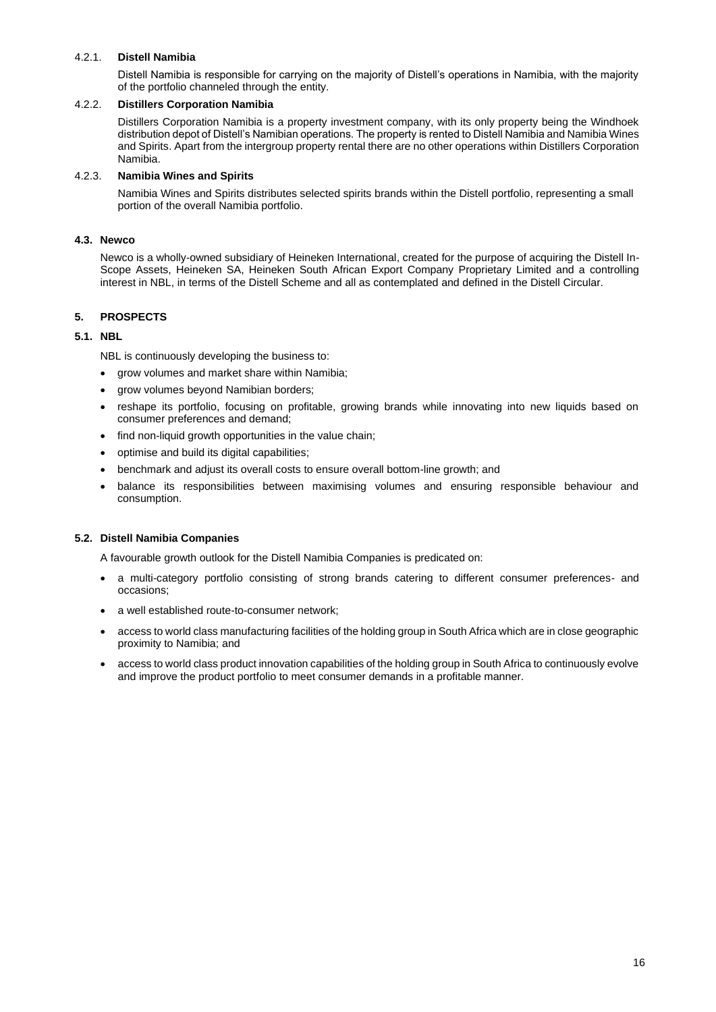## 4.2.1. **Distell Namibia**

Distell Namibia is responsible for carrying on the majority of Distell's operations in Namibia, with the majority of the portfolio channeled through the entity.

## 4.2.2. **Distillers Corporation Namibia**

Distillers Corporation Namibia is a property investment company, with its only property being the Windhoek distribution depot of Distell's Namibian operations. The property is rented to Distell Namibia and Namibia Wines and Spirits. Apart from the intergroup property rental there are no other operations within Distillers Corporation Namibia.

## 4.2.3. **Namibia Wines and Spirits**

Namibia Wines and Spirits distributes selected spirits brands within the Distell portfolio, representing a small portion of the overall Namibia portfolio.

## **4.3. Newco**

Newco is a wholly-owned subsidiary of Heineken International, created for the purpose of acquiring the Distell In-Scope Assets, Heineken SA, Heineken South African Export Company Proprietary Limited and a controlling interest in NBL, in terms of the Distell Scheme and all as contemplated and defined in the Distell Circular.

## <span id="page-15-0"></span>**5. PROSPECTS**

## **5.1. NBL**

NBL is continuously developing the business to:

- grow volumes and market share within Namibia;
- grow volumes beyond Namibian borders;
- reshape its portfolio, focusing on profitable, growing brands while innovating into new liquids based on consumer preferences and demand;
- find non-liquid growth opportunities in the value chain;
- optimise and build its digital capabilities;
- benchmark and adjust its overall costs to ensure overall bottom-line growth; and
- balance its responsibilities between maximising volumes and ensuring responsible behaviour and consumption.

## **5.2. Distell Namibia Companies**

A favourable growth outlook for the Distell Namibia Companies is predicated on:

- a multi-category portfolio consisting of strong brands catering to different consumer preferences- and occasions;
- a well established route-to-consumer network;
- access to world class manufacturing facilities of the holding group in South Africa which are in close geographic proximity to Namibia; and
- access to world class product innovation capabilities of the holding group in South Africa to continuously evolve and improve the product portfolio to meet consumer demands in a profitable manner.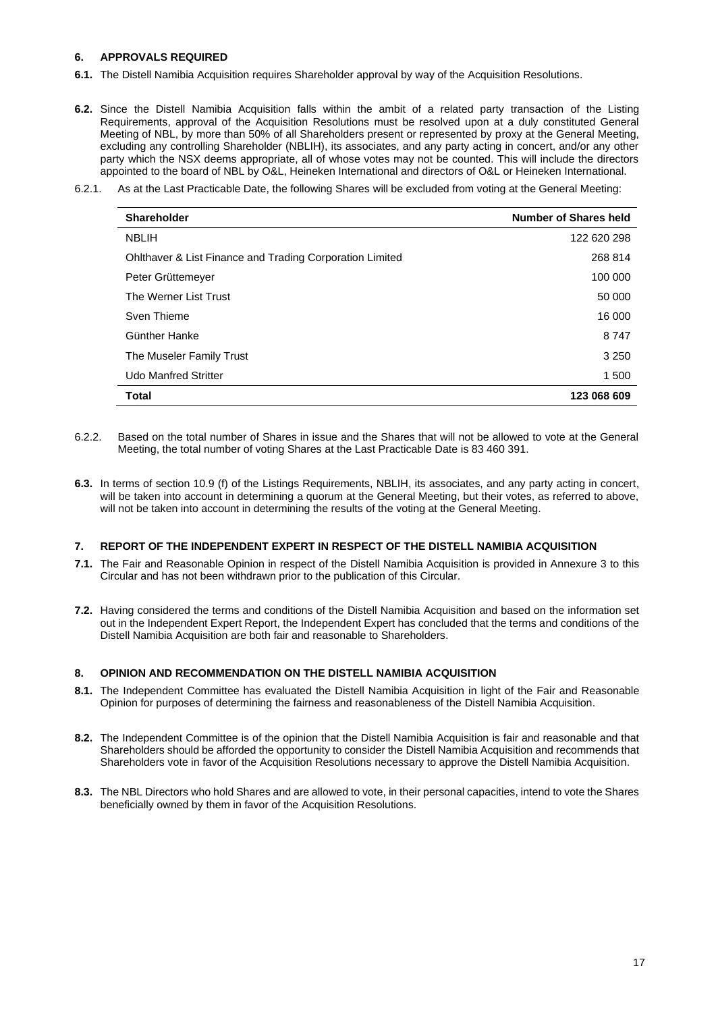## <span id="page-16-0"></span>**6. APPROVALS REQUIRED**

- **6.1.** The Distell Namibia Acquisition requires Shareholder approval by way of the Acquisition Resolutions.
- **6.2.** Since the Distell Namibia Acquisition falls within the ambit of a related party transaction of the Listing Requirements, approval of the Acquisition Resolutions must be resolved upon at a duly constituted General Meeting of NBL, by more than 50% of all Shareholders present or represented by proxy at the General Meeting, excluding any controlling Shareholder (NBLIH), its associates, and any party acting in concert, and/or any other party which the NSX deems appropriate, all of whose votes may not be counted. This will include the directors appointed to the board of NBL by O&L, Heineken International and directors of O&L or Heineken International.
- 6.2.1. As at the Last Practicable Date, the following Shares will be excluded from voting at the General Meeting:

| <b>Shareholder</b>                                       | <b>Number of Shares held</b> |
|----------------------------------------------------------|------------------------------|
| <b>NBLIH</b>                                             | 122 620 298                  |
| Ohlthaver & List Finance and Trading Corporation Limited | 268 814                      |
| Peter Grüttemeyer                                        | 100 000                      |
| The Werner List Trust                                    | 50 000                       |
| Sven Thieme                                              | 16 000                       |
| Günther Hanke                                            | 8 7 4 7                      |
| The Museler Family Trust                                 | 3 2 5 0                      |
| <b>Udo Manfred Stritter</b>                              | 1 500                        |
| <b>Total</b>                                             | 123 068 609                  |

- 6.2.2. Based on the total number of Shares in issue and the Shares that will not be allowed to vote at the General Meeting, the total number of voting Shares at the Last Practicable Date is 83 460 391.
- **6.3.** In terms of section 10.9 (f) of the Listings Requirements, NBLIH, its associates, and any party acting in concert, will be taken into account in determining a quorum at the General Meeting, but their votes, as referred to above, will not be taken into account in determining the results of the voting at the General Meeting.

## <span id="page-16-1"></span>**7. REPORT OF THE INDEPENDENT EXPERT IN RESPECT OF THE DISTELL NAMIBIA ACQUISITION**

- **7.1.** The Fair and Reasonable Opinion in respect of the Distell Namibia Acquisition is provided in Annexure 3 to this Circular and has not been withdrawn prior to the publication of this Circular.
- **7.2.** Having considered the terms and conditions of the Distell Namibia Acquisition and based on the information set out in the Independent Expert Report, the Independent Expert has concluded that the terms and conditions of the Distell Namibia Acquisition are both fair and reasonable to Shareholders.

## <span id="page-16-2"></span>**8. OPINION AND RECOMMENDATION ON THE DISTELL NAMIBIA ACQUISITION**

- **8.1.** The Independent Committee has evaluated the Distell Namibia Acquisition in light of the Fair and Reasonable Opinion for purposes of determining the fairness and reasonableness of the Distell Namibia Acquisition.
- **8.2.** The Independent Committee is of the opinion that the Distell Namibia Acquisition is fair and reasonable and that Shareholders should be afforded the opportunity to consider the Distell Namibia Acquisition and recommends that Shareholders vote in favor of the Acquisition Resolutions necessary to approve the Distell Namibia Acquisition.
- **8.3.** The NBL Directors who hold Shares and are allowed to vote, in their personal capacities, intend to vote the Shares beneficially owned by them in favor of the Acquisition Resolutions.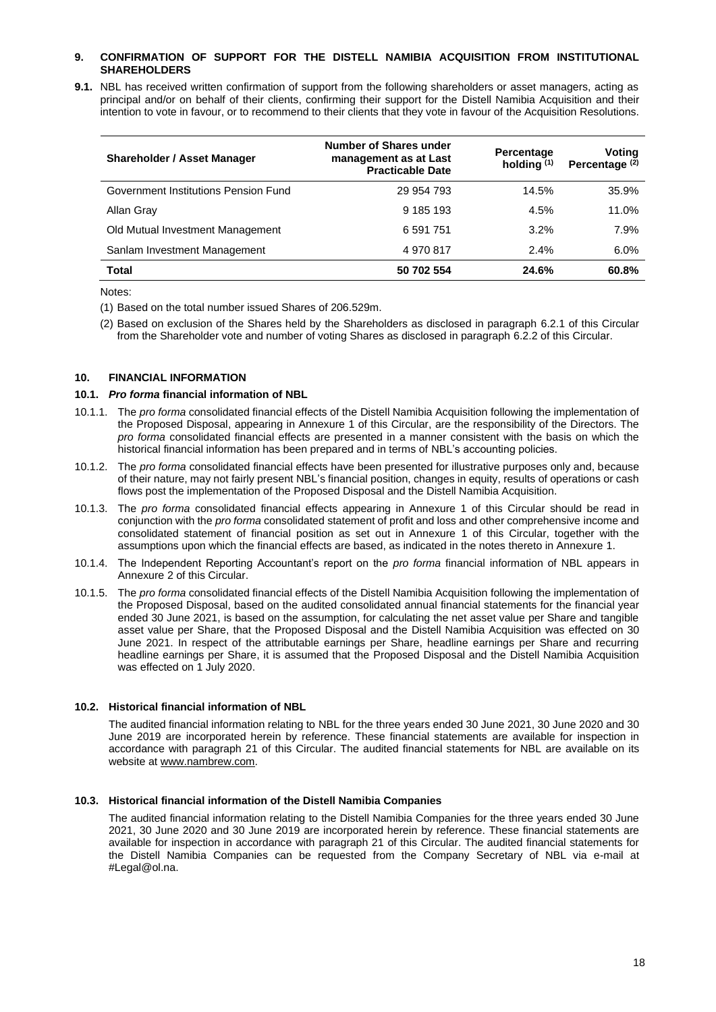## <span id="page-17-0"></span>**9. CONFIRMATION OF SUPPORT FOR THE DISTELL NAMIBIA ACQUISITION FROM INSTITUTIONAL SHAREHOLDERS**

**9.1.** NBL has received written confirmation of support from the following shareholders or asset managers, acting as principal and/or on behalf of their clients, confirming their support for the Distell Namibia Acquisition and their intention to vote in favour, or to recommend to their clients that they vote in favour of the Acquisition Resolutions.

| <b>Shareholder / Asset Manager</b>   | Number of Shares under<br>management as at Last<br><b>Practicable Date</b> | Percentage<br>holding $(1)$ | Voting<br>Percentage <sup>(2)</sup> |
|--------------------------------------|----------------------------------------------------------------------------|-----------------------------|-------------------------------------|
| Government Institutions Pension Fund | 29 954 793                                                                 | 14.5%                       | 35.9%                               |
| Allan Gray                           | 9 185 193                                                                  | 4.5%                        | 11.0%                               |
| Old Mutual Investment Management     | 6 591 751                                                                  | 3.2%                        | 7.9%                                |
| Sanlam Investment Management         | 4970817                                                                    | 2.4%                        | 6.0%                                |
| <b>Total</b>                         | 50 702 554                                                                 | 24.6%                       | 60.8%                               |

Notes:

(1) Based on the total number issued Shares of 206.529m.

(2) Based on exclusion of the Shares held by the Shareholders as disclosed in paragraph 6.2.1 of this Circular from the Shareholder vote and number of voting Shares as disclosed in paragraph 6.2.2 of this Circular.

## <span id="page-17-1"></span>**10. FINANCIAL INFORMATION**

## **10.1.** *Pro forma* **financial information of NBL**

- 10.1.1. The *pro forma* consolidated financial effects of the Distell Namibia Acquisition following the implementation of the Proposed Disposal, appearing in Annexure 1 of this Circular, are the responsibility of the Directors. The *pro forma* consolidated financial effects are presented in a manner consistent with the basis on which the historical financial information has been prepared and in terms of NBL's accounting policies.
- 10.1.2. The *pro forma* consolidated financial effects have been presented for illustrative purposes only and, because of their nature, may not fairly present NBL's financial position, changes in equity, results of operations or cash flows post the implementation of the Proposed Disposal and the Distell Namibia Acquisition.
- 10.1.3. The *pro forma* consolidated financial effects appearing in Annexure 1 of this Circular should be read in conjunction with the *pro forma* consolidated statement of profit and loss and other comprehensive income and consolidated statement of financial position as set out in Annexure 1 of this Circular, together with the assumptions upon which the financial effects are based, as indicated in the notes thereto in Annexure 1.
- 10.1.4. The Independent Reporting Accountant's report on the *pro forma* financial information of NBL appears in Annexure 2 of this Circular.
- 10.1.5. The *pro forma* consolidated financial effects of the Distell Namibia Acquisition following the implementation of the Proposed Disposal, based on the audited consolidated annual financial statements for the financial year ended 30 June 2021, is based on the assumption, for calculating the net asset value per Share and tangible asset value per Share, that the Proposed Disposal and the Distell Namibia Acquisition was effected on 30 June 2021. In respect of the attributable earnings per Share, headline earnings per Share and recurring headline earnings per Share, it is assumed that the Proposed Disposal and the Distell Namibia Acquisition was effected on 1 July 2020.

## **10.2. Historical financial information of NBL**

The audited financial information relating to NBL for the three years ended 30 June 2021, 30 June 2020 and 30 June 2019 are incorporated herein by reference. These financial statements are available for inspection in accordance with paragraph 21 of this Circular. The audited financial statements for NBL are available on its website a[t www.nambrew.com.](http://www.nambrew.com/)

## **10.3. Historical financial information of the Distell Namibia Companies**

The audited financial information relating to the Distell Namibia Companies for the three years ended 30 June 2021, 30 June 2020 and 30 June 2019 are incorporated herein by reference. These financial statements are available for inspection in accordance with paragraph 21 of this Circular. The audited financial statements for the Distell Namibia Companies can be requested from the Company Secretary of NBL via e-mail at #Legal@ol.na.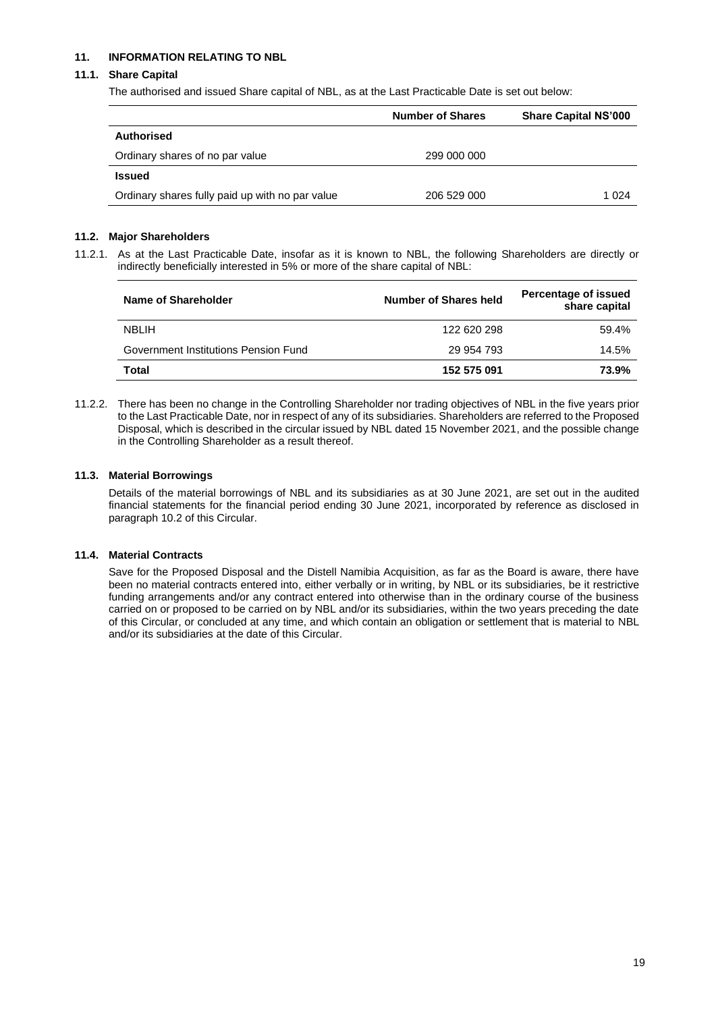## <span id="page-18-0"></span>**11. INFORMATION RELATING TO NBL**

## **11.1. Share Capital**

The authorised and issued Share capital of NBL, as at the Last Practicable Date is set out below:

|                                                 | <b>Number of Shares</b> | <b>Share Capital NS'000</b> |
|-------------------------------------------------|-------------------------|-----------------------------|
| Authorised                                      |                         |                             |
| Ordinary shares of no par value                 | 299 000 000             |                             |
| <b>Issued</b>                                   |                         |                             |
| Ordinary shares fully paid up with no par value | 206 529 000             | 1 024                       |

## **11.2. Major Shareholders**

11.2.1. As at the Last Practicable Date, insofar as it is known to NBL, the following Shareholders are directly or indirectly beneficially interested in 5% or more of the share capital of NBL:

| Name of Shareholder                  | Number of Shares held | Percentage of issued<br>share capital |
|--------------------------------------|-----------------------|---------------------------------------|
| <b>NBLIH</b>                         | 122 620 298           | 59.4%                                 |
| Government Institutions Pension Fund | 29 954 793            | 14.5%                                 |
| Total                                | 152 575 091           | 73.9%                                 |

11.2.2. There has been no change in the Controlling Shareholder nor trading objectives of NBL in the five years prior to the Last Practicable Date, nor in respect of any of its subsidiaries. Shareholders are referred to the Proposed Disposal, which is described in the circular issued by NBL dated 15 November 2021, and the possible change in the Controlling Shareholder as a result thereof.

## **11.3. Material Borrowings**

Details of the material borrowings of NBL and its subsidiaries as at 30 June 2021, are set out in the audited financial statements for the financial period ending 30 June 2021, incorporated by reference as disclosed in paragraph 10.2 of this Circular.

## **11.4. Material Contracts**

Save for the Proposed Disposal and the Distell Namibia Acquisition, as far as the Board is aware, there have been no material contracts entered into, either verbally or in writing, by NBL or its subsidiaries, be it restrictive funding arrangements and/or any contract entered into otherwise than in the ordinary course of the business carried on or proposed to be carried on by NBL and/or its subsidiaries, within the two years preceding the date of this Circular, or concluded at any time, and which contain an obligation or settlement that is material to NBL and/or its subsidiaries at the date of this Circular.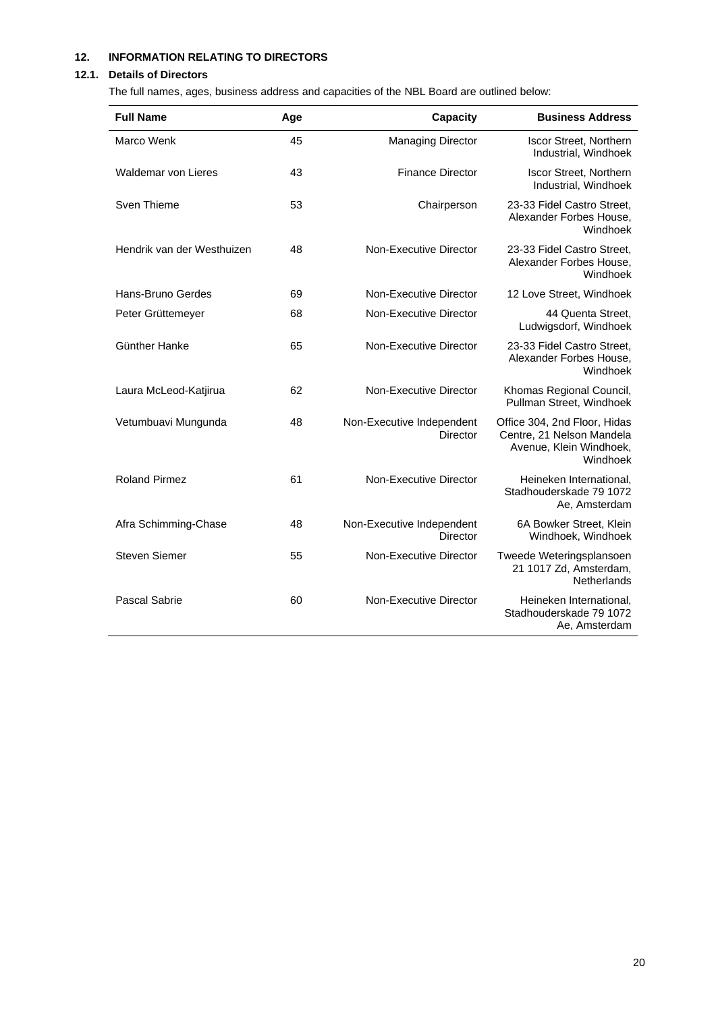## <span id="page-19-0"></span>**12. INFORMATION RELATING TO DIRECTORS**

## **12.1. Details of Directors**

The full names, ages, business address and capacities of the NBL Board are outlined below:

| <b>Full Name</b>           | Age | Capacity                                     | <b>Business Address</b>                                                                          |
|----------------------------|-----|----------------------------------------------|--------------------------------------------------------------------------------------------------|
| Marco Wenk                 | 45  | <b>Managing Director</b>                     | <b>Iscor Street, Northern</b><br>Industrial, Windhoek                                            |
| <b>Waldemar von Lieres</b> | 43  | <b>Finance Director</b>                      | <b>Iscor Street, Northern</b><br>Industrial, Windhoek                                            |
| Sven Thieme                | 53  | Chairperson                                  | 23-33 Fidel Castro Street.<br>Alexander Forbes House,<br>Windhoek                                |
| Hendrik van der Westhuizen | 48  | Non-Executive Director                       | 23-33 Fidel Castro Street,<br>Alexander Forbes House,<br>Windhoek                                |
| Hans-Bruno Gerdes          | 69  | Non-Executive Director                       | 12 Love Street, Windhoek                                                                         |
| Peter Grüttemeyer          | 68  | Non-Executive Director                       | 44 Quenta Street.<br>Ludwigsdorf, Windhoek                                                       |
| Günther Hanke              | 65  | Non-Executive Director                       | 23-33 Fidel Castro Street,<br>Alexander Forbes House,<br>Windhoek                                |
| Laura McLeod-Katjirua      | 62  | Non-Executive Director                       | Khomas Regional Council,<br>Pullman Street, Windhoek                                             |
| Vetumbuavi Mungunda        | 48  | Non-Executive Independent<br>Director        | Office 304, 2nd Floor, Hidas<br>Centre, 21 Nelson Mandela<br>Avenue, Klein Windhoek,<br>Windhoek |
| <b>Roland Pirmez</b>       | 61  | Non-Executive Director                       | Heineken International.<br>Stadhouderskade 79 1072<br>Ae, Amsterdam                              |
| Afra Schimming-Chase       | 48  | Non-Executive Independent<br><b>Director</b> | 6A Bowker Street, Klein<br>Windhoek, Windhoek                                                    |
| <b>Steven Siemer</b>       | 55  | Non-Executive Director                       | Tweede Weteringsplansoen<br>21 1017 Zd, Amsterdam,<br>Netherlands                                |
| Pascal Sabrie              | 60  | Non-Executive Director                       | Heineken International,<br>Stadhouderskade 79 1072<br>Ae, Amsterdam                              |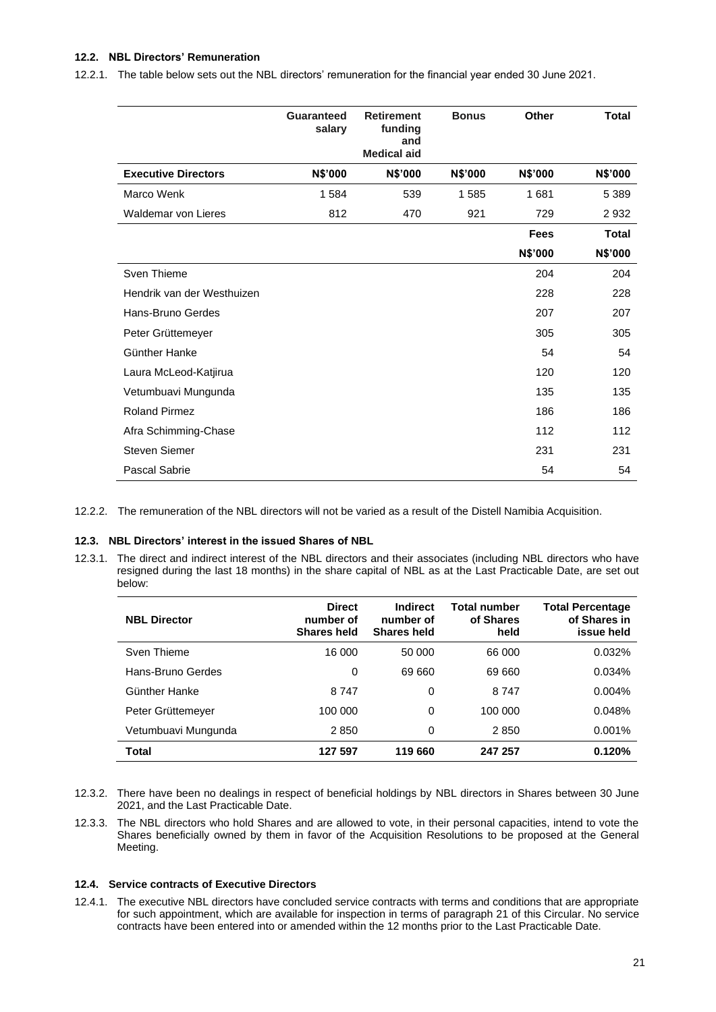## **12.2. NBL Directors' Remuneration**

12.2.1. The table below sets out the NBL directors' remuneration for the financial year ended 30 June 2021.

|                            | Guaranteed<br>salary | <b>Retirement</b><br>funding<br>and<br><b>Medical aid</b> | <b>Bonus</b>   | Other          | Total          |
|----------------------------|----------------------|-----------------------------------------------------------|----------------|----------------|----------------|
| <b>Executive Directors</b> | <b>N\$'000</b>       | <b>N\$'000</b>                                            | <b>N\$'000</b> | <b>N\$'000</b> | <b>N\$'000</b> |
| Marco Wenk                 | 1584                 | 539                                                       | 1585           | 1681           | 5 3 8 9        |
| Waldemar von Lieres        | 812                  | 470                                                       | 921            | 729            | 2932           |
|                            |                      |                                                           |                | <b>Fees</b>    | Total          |
|                            |                      |                                                           |                | N\$'000        | N\$'000        |
| Sven Thieme                |                      |                                                           |                | 204            | 204            |
| Hendrik van der Westhuizen |                      |                                                           |                | 228            | 228            |
| Hans-Bruno Gerdes          |                      |                                                           |                | 207            | 207            |
| Peter Grüttemeyer          |                      |                                                           |                | 305            | 305            |
| Günther Hanke              |                      |                                                           |                | 54             | 54             |
| Laura McLeod-Katjirua      |                      |                                                           |                | 120            | 120            |
| Vetumbuavi Mungunda        |                      |                                                           |                | 135            | 135            |
| <b>Roland Pirmez</b>       |                      |                                                           |                | 186            | 186            |
| Afra Schimming-Chase       |                      |                                                           |                | 112            | 112            |
| <b>Steven Siemer</b>       |                      |                                                           |                | 231            | 231            |
| Pascal Sabrie              |                      |                                                           |                | 54             | 54             |

12.2.2. The remuneration of the NBL directors will not be varied as a result of the Distell Namibia Acquisition.

#### **12.3. NBL Directors' interest in the issued Shares of NBL**

12.3.1. The direct and indirect interest of the NBL directors and their associates (including NBL directors who have resigned during the last 18 months) in the share capital of NBL as at the Last Practicable Date, are set out below:

| <b>NBL Director</b> | <b>Direct</b><br>number of<br><b>Shares held</b> | Indirect<br>number of<br><b>Shares held</b> | Total number<br>of Shares<br>held | <b>Total Percentage</b><br>of Shares in<br>issue held |
|---------------------|--------------------------------------------------|---------------------------------------------|-----------------------------------|-------------------------------------------------------|
| Sven Thieme         | 16 000                                           | 50 000                                      | 66 000                            | 0.032%                                                |
| Hans-Bruno Gerdes   | 0                                                | 69 660                                      | 69 660                            | 0.034%                                                |
| Günther Hanke       | 8 7 4 7                                          | 0                                           | 8 7 4 7                           | 0.004%                                                |
| Peter Grüttemeyer   | 100 000                                          | 0                                           | 100 000                           | 0.048%                                                |
| Vetumbuavi Mungunda | 2850                                             | 0                                           | 2850                              | 0.001%                                                |
| Total               | 127 597                                          | 119660                                      | 247 257                           | 0.120%                                                |

- 12.3.2. There have been no dealings in respect of beneficial holdings by NBL directors in Shares between 30 June 2021, and the Last Practicable Date.
- 12.3.3. The NBL directors who hold Shares and are allowed to vote, in their personal capacities, intend to vote the Shares beneficially owned by them in favor of the Acquisition Resolutions to be proposed at the General Meeting.

#### **12.4. Service contracts of Executive Directors**

12.4.1. The executive NBL directors have concluded service contracts with terms and conditions that are appropriate for such appointment, which are available for inspection in terms of paragraph 21 of this Circular. No service contracts have been entered into or amended within the 12 months prior to the Last Practicable Date.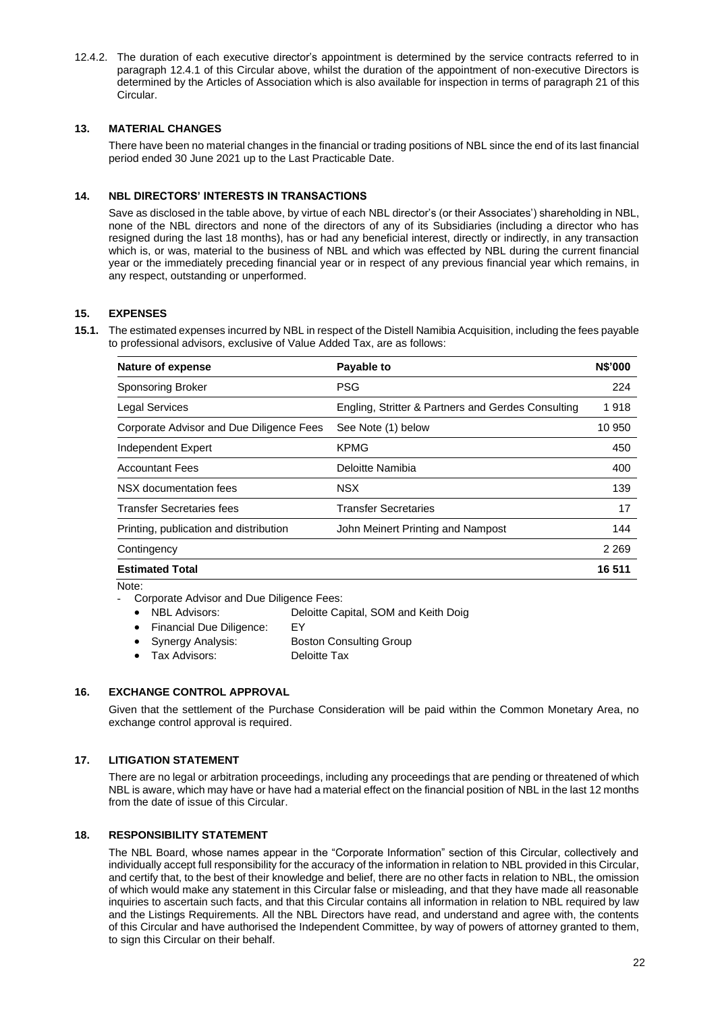12.4.2. The duration of each executive director's appointment is determined by the service contracts referred to in paragraph 12.4.1 of this Circular above, whilst the duration of the appointment of non-executive Directors is determined by the Articles of Association which is also available for inspection in terms of paragraph 21 of this Circular.

## <span id="page-21-0"></span>**13. MATERIAL CHANGES**

There have been no material changes in the financial or trading positions of NBL since the end of its last financial period ended 30 June 2021 up to the Last Practicable Date.

## <span id="page-21-1"></span>**14. NBL DIRECTORS' INTERESTS IN TRANSACTIONS**

Save as disclosed in the table above, by virtue of each NBL director's (or their Associates') shareholding in NBL, none of the NBL directors and none of the directors of any of its Subsidiaries (including a director who has resigned during the last 18 months), has or had any beneficial interest, directly or indirectly, in any transaction which is, or was, material to the business of NBL and which was effected by NBL during the current financial year or the immediately preceding financial year or in respect of any previous financial year which remains, in any respect, outstanding or unperformed.

## <span id="page-21-2"></span>**15. EXPENSES**

**15.1.** The estimated expenses incurred by NBL in respect of the Distell Namibia Acquisition, including the fees payable to professional advisors, exclusive of Value Added Tax, are as follows:

| Nature of expense                        | Payable to                                         | <b>N\$'000</b> |
|------------------------------------------|----------------------------------------------------|----------------|
| Sponsoring Broker                        | <b>PSG</b>                                         | 224            |
| <b>Legal Services</b>                    | Engling, Stritter & Partners and Gerdes Consulting | 1918           |
| Corporate Advisor and Due Diligence Fees | See Note (1) below                                 | 10 950         |
| Independent Expert                       | <b>KPMG</b>                                        | 450            |
| <b>Accountant Fees</b>                   | Deloitte Namibia                                   | 400            |
| NSX documentation fees                   | <b>NSX</b>                                         | 139            |
| <b>Transfer Secretaries fees</b>         | <b>Transfer Secretaries</b>                        | 17             |
| Printing, publication and distribution   | John Meinert Printing and Nampost                  | 144            |
| Contingency                              |                                                    | 2 2 6 9        |
| <b>Estimated Total</b>                   |                                                    | 16 511         |

- Note:
- Corporate Advisor and Due Diligence Fees:
	- NBL Advisors: Deloitte Capital, SOM and Keith Doig
		- Financial Due Diligence: EY
	- Synergy Analysis: Boston Consulting Group
	- Tax Advisors: Deloitte Tax

## <span id="page-21-3"></span>**16. EXCHANGE CONTROL APPROVAL**

Given that the settlement of the Purchase Consideration will be paid within the Common Monetary Area, no exchange control approval is required.

## <span id="page-21-4"></span>**17. LITIGATION STATEMENT**

There are no legal or arbitration proceedings, including any proceedings that are pending or threatened of which NBL is aware, which may have or have had a material effect on the financial position of NBL in the last 12 months from the date of issue of this Circular.

## <span id="page-21-5"></span>**18. RESPONSIBILITY STATEMENT**

The NBL Board, whose names appear in the "Corporate Information" section of this Circular, collectively and individually accept full responsibility for the accuracy of the information in relation to NBL provided in this Circular, and certify that, to the best of their knowledge and belief, there are no other facts in relation to NBL, the omission of which would make any statement in this Circular false or misleading, and that they have made all reasonable inquiries to ascertain such facts, and that this Circular contains all information in relation to NBL required by law and the Listings Requirements. All the NBL Directors have read, and understand and agree with, the contents of this Circular and have authorised the Independent Committee, by way of powers of attorney granted to them, to sign this Circular on their behalf.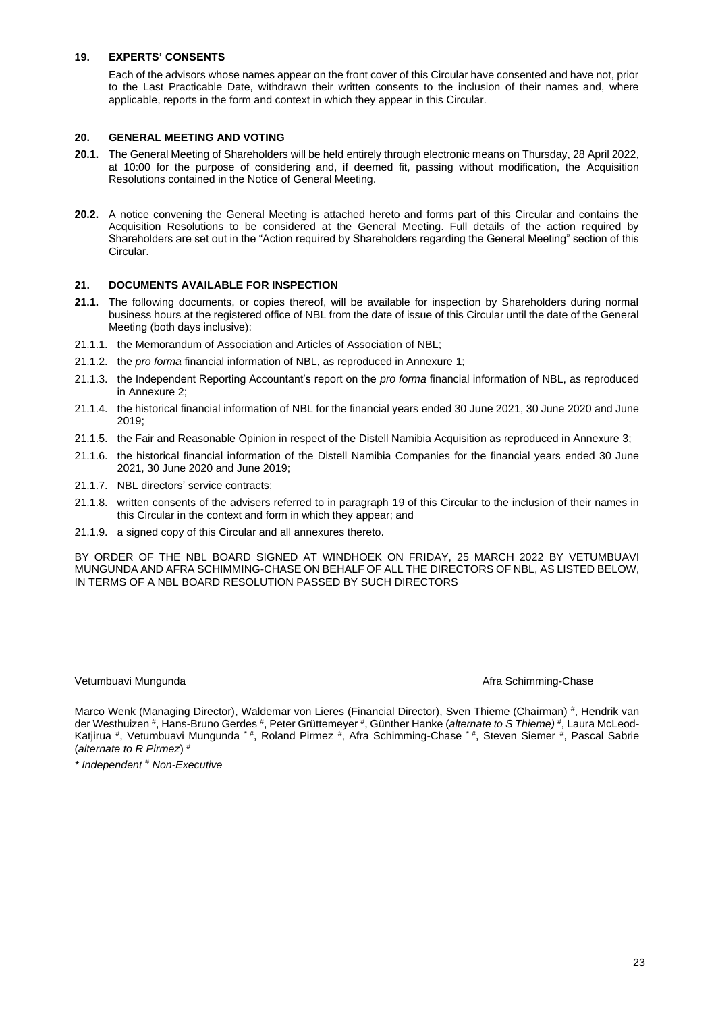## <span id="page-22-0"></span>**19. EXPERTS' CONSENTS**

Each of the advisors whose names appear on the front cover of this Circular have consented and have not, prior to the Last Practicable Date, withdrawn their written consents to the inclusion of their names and, where applicable, reports in the form and context in which they appear in this Circular.

## <span id="page-22-1"></span>**20. GENERAL MEETING AND VOTING**

- **20.1.** The General Meeting of Shareholders will be held entirely through electronic means on Thursday, 28 April 2022, at 10:00 for the purpose of considering and, if deemed fit, passing without modification, the Acquisition Resolutions contained in the Notice of General Meeting.
- **20.2.** A notice convening the General Meeting is attached hereto and forms part of this Circular and contains the Acquisition Resolutions to be considered at the General Meeting. Full details of the action required by Shareholders are set out in the "Action required by Shareholders regarding the General Meeting" section of this Circular.

## <span id="page-22-2"></span>**21. DOCUMENTS AVAILABLE FOR INSPECTION**

- **21.1.** The following documents, or copies thereof, will be available for inspection by Shareholders during normal business hours at the registered office of NBL from the date of issue of this Circular until the date of the General Meeting (both days inclusive):
- 21.1.1. the Memorandum of Association and Articles of Association of NBL;
- 21.1.2. the *pro forma* financial information of NBL, as reproduced in Annexure 1;
- 21.1.3. the Independent Reporting Accountant's report on the *pro forma* financial information of NBL, as reproduced in Annexure 2;
- 21.1.4. the historical financial information of NBL for the financial years ended 30 June 2021, 30 June 2020 and June 2019;
- 21.1.5. the Fair and Reasonable Opinion in respect of the Distell Namibia Acquisition as reproduced in Annexure 3;
- 21.1.6. the historical financial information of the Distell Namibia Companies for the financial years ended 30 June 2021, 30 June 2020 and June 2019;
- 21.1.7. NBL directors' service contracts;
- 21.1.8. written consents of the advisers referred to in paragraph 19 of this Circular to the inclusion of their names in this Circular in the context and form in which they appear; and
- 21.1.9. a signed copy of this Circular and all annexures thereto.

BY ORDER OF THE NBL BOARD SIGNED AT WINDHOEK ON FRIDAY, 25 MARCH 2022 BY VETUMBUAVI MUNGUNDA AND AFRA SCHIMMING-CHASE ON BEHALF OF ALL THE DIRECTORS OF NBL, AS LISTED BELOW, IN TERMS OF A NBL BOARD RESOLUTION PASSED BY SUCH DIRECTORS

Vetumbuavi Mungunda Afra Schimming-Chase Afra Schimming-Chase

Marco Wenk (Managing Director), Waldemar von Lieres (Financial Director), Sven Thieme (Chairman) #, Hendrik van der Westhuizen #, Hans-Bruno Gerdes #, Peter Grüttemeyer #, Günther Hanke (*alternate to S Thieme)* #, Laura McLeod-Katjirua #, Vetumbuavi Mungunda \* #, Roland Pirmez #, Afra Schimming-Chase \* #, Steven Siemer #, Pascal Sabrie (*alternate to R Pirmez*) #

*\* Independent # Non-Executive*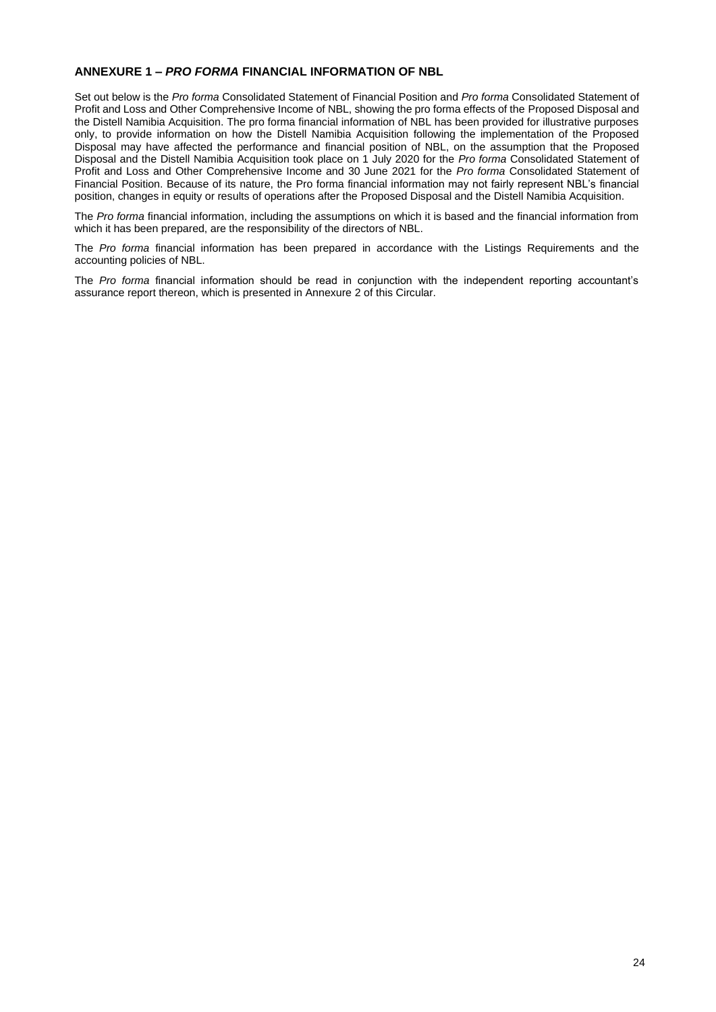## <span id="page-23-0"></span>**ANNEXURE 1 –** *PRO FORMA* **FINANCIAL INFORMATION OF NBL**

Set out below is the *Pro forma* Consolidated Statement of Financial Position and *Pro forma* Consolidated Statement of Profit and Loss and Other Comprehensive Income of NBL, showing the pro forma effects of the Proposed Disposal and the Distell Namibia Acquisition. The pro forma financial information of NBL has been provided for illustrative purposes only, to provide information on how the Distell Namibia Acquisition following the implementation of the Proposed Disposal may have affected the performance and financial position of NBL, on the assumption that the Proposed Disposal and the Distell Namibia Acquisition took place on 1 July 2020 for the *Pro forma* Consolidated Statement of Profit and Loss and Other Comprehensive Income and 30 June 2021 for the *Pro forma* Consolidated Statement of Financial Position. Because of its nature, the Pro forma financial information may not fairly represent NBL's financial position, changes in equity or results of operations after the Proposed Disposal and the Distell Namibia Acquisition.

The *Pro forma* financial information, including the assumptions on which it is based and the financial information from which it has been prepared, are the responsibility of the directors of NBL.

The *Pro forma* financial information has been prepared in accordance with the Listings Requirements and the accounting policies of NBL.

The *Pro forma* financial information should be read in conjunction with the independent reporting accountant's assurance report thereon, which is presented in Annexure 2 of this Circular.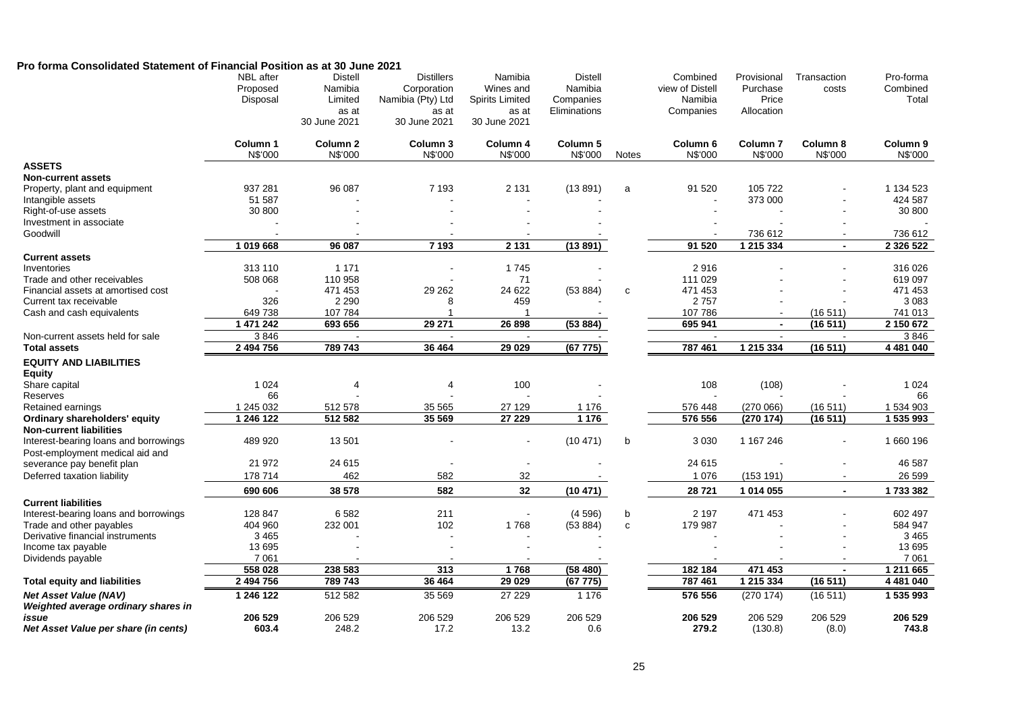## **Pro forma Consolidated Statement of Financial Position as at 30 June 2021**

|                                                              | <b>NBL</b> after<br>Proposed<br>Disposal | <b>Distell</b><br>Namibia<br>Limited<br>as at<br>30 June 2021 | <b>Distillers</b><br>Corporation<br>Namibia (Pty) Ltd<br>as at<br>30 June 2021 | Namibia<br>Wines and<br><b>Spirits Limited</b><br>as at<br>30 June 2021 | <b>Distell</b><br>Namibia<br>Companies<br>Eliminations |              | Combined<br>view of Distell<br>Namibia<br>Companies | Provisional<br>Purchase<br>Price<br>Allocation | Transaction<br>costs | Pro-forma<br>Combined<br>Total |
|--------------------------------------------------------------|------------------------------------------|---------------------------------------------------------------|--------------------------------------------------------------------------------|-------------------------------------------------------------------------|--------------------------------------------------------|--------------|-----------------------------------------------------|------------------------------------------------|----------------------|--------------------------------|
|                                                              | Column 1<br>N\$'000                      | Column <sub>2</sub><br>N\$'000                                | Column 3<br>N\$'000                                                            | Column 4<br>N\$'000                                                     | Column <sub>5</sub><br>N\$'000                         | <b>Notes</b> | Column <sub>6</sub><br>N\$'000                      | Column <sub>7</sub><br>N\$'000                 | Column 8<br>N\$'000  | Column 9<br>N\$'000            |
| <b>ASSETS</b>                                                |                                          |                                                               |                                                                                |                                                                         |                                                        |              |                                                     |                                                |                      |                                |
| <b>Non-current assets</b>                                    |                                          |                                                               |                                                                                |                                                                         |                                                        |              |                                                     |                                                |                      |                                |
| Property, plant and equipment                                | 937 281                                  | 96 087                                                        | 7 1 9 3                                                                        | 2 1 3 1                                                                 | (13891)                                                | a            | 91 520                                              | 105 722                                        |                      | 1 134 523                      |
| Intangible assets                                            | 51 587                                   |                                                               |                                                                                |                                                                         |                                                        |              |                                                     | 373 000                                        |                      | 424 587                        |
| Right-of-use assets                                          | 30 800                                   |                                                               |                                                                                |                                                                         |                                                        |              |                                                     |                                                |                      | 30 800                         |
| Investment in associate                                      |                                          |                                                               |                                                                                |                                                                         |                                                        |              |                                                     |                                                |                      |                                |
| Goodwill                                                     |                                          |                                                               |                                                                                |                                                                         |                                                        |              | 91 520                                              | 736 612<br>1 215 334                           |                      | 736 612                        |
|                                                              | 1019668                                  | 96 087                                                        | 7 1 9 3                                                                        | 2 1 3 1                                                                 | (13891)                                                |              |                                                     |                                                | $\blacksquare$       | 2 3 2 6 5 2 2                  |
| <b>Current assets</b><br>Inventories                         | 313 110                                  | 1 1 7 1                                                       |                                                                                | 1745                                                                    |                                                        |              | 2916                                                |                                                |                      | 316 026                        |
| Trade and other receivables                                  | 508 068                                  | 110 958                                                       |                                                                                | 71                                                                      |                                                        |              | 111 029                                             |                                                |                      | 619 097                        |
| Financial assets at amortised cost                           |                                          | 471 453                                                       | 29 26 2                                                                        | 24 622                                                                  | (53 884)                                               | $\mathbf c$  | 471 453                                             |                                                |                      | 471 453                        |
| Current tax receivable                                       | 326                                      | 2 2 9 0                                                       | 8                                                                              | 459                                                                     |                                                        |              | 2757                                                |                                                |                      | 3 0 8 3                        |
| Cash and cash equivalents                                    | 649 738                                  | 107 784                                                       |                                                                                | -1                                                                      |                                                        |              | 107 786                                             |                                                | (16511)              | 741 013                        |
|                                                              | 1 471 242                                | 693 656                                                       | 29 271                                                                         | 26 898                                                                  | (53 884)                                               |              | 695 941                                             | $\blacksquare$                                 | (16511)              | 2 150 672                      |
| Non-current assets held for sale                             | 3846                                     |                                                               |                                                                                |                                                                         |                                                        |              |                                                     |                                                |                      | 3846                           |
| <b>Total assets</b>                                          | 2 494 756                                | 789 743                                                       | 36 4 64                                                                        | 29 0 29                                                                 | (67775)                                                |              | 787 461                                             | 1 215 334                                      | (16511)              | 4 481 040                      |
| <b>EQUITY AND LIABILITIES</b>                                |                                          |                                                               |                                                                                |                                                                         |                                                        |              |                                                     |                                                |                      |                                |
| <b>Equity</b>                                                |                                          |                                                               |                                                                                |                                                                         |                                                        |              |                                                     |                                                |                      |                                |
| Share capital                                                | 1 0 2 4                                  | $\overline{4}$                                                | $\overline{4}$                                                                 | 100                                                                     |                                                        |              | 108                                                 | (108)                                          |                      | 1 0 2 4                        |
| Reserves                                                     | 66                                       |                                                               |                                                                                |                                                                         |                                                        |              |                                                     |                                                |                      | 66                             |
| Retained earnings                                            | 1 245 032                                | 512 578                                                       | 35 565                                                                         | 27 129                                                                  | 1 1 7 6                                                |              | 576 448                                             | (270066)                                       | (16511)              | 1 534 903                      |
| Ordinary shareholders' equity                                | 1 246 122                                | 512 582                                                       | 35 569                                                                         | 27 229                                                                  | 1 1 7 6                                                |              | 576 556                                             | (270174)                                       | (16511)              | 1 535 993                      |
| <b>Non-current liabilities</b>                               |                                          |                                                               |                                                                                |                                                                         |                                                        |              |                                                     |                                                |                      |                                |
| Interest-bearing loans and borrowings                        | 489 920                                  | 13 501                                                        |                                                                                |                                                                         | (10471)                                                | b            | 3 0 3 0                                             | 1 167 246                                      |                      | 1 660 196                      |
| Post-employment medical aid and                              | 21 972                                   | 24 615                                                        |                                                                                |                                                                         |                                                        |              | 24 615                                              |                                                |                      | 46 587                         |
| severance pay benefit plan<br>Deferred taxation liability    | 178 714                                  | 462                                                           | 582                                                                            | 32                                                                      |                                                        |              | 1 0 7 6                                             | (153 191)                                      |                      | 26 599                         |
|                                                              |                                          |                                                               |                                                                                |                                                                         |                                                        |              |                                                     |                                                |                      |                                |
|                                                              | 690 606                                  | 38 578                                                        | 582                                                                            | 32                                                                      | (10 471)                                               |              | 28 7 21                                             | 1 014 055                                      | $\blacksquare$       | 1733382                        |
| <b>Current liabilities</b>                                   |                                          |                                                               |                                                                                |                                                                         |                                                        |              |                                                     |                                                |                      |                                |
| Interest-bearing loans and borrowings                        | 128 847                                  | 6582                                                          | 211                                                                            | $\blacksquare$                                                          | (4596)                                                 | b            | 2 1 9 7                                             | 471 453                                        |                      | 602 497                        |
| Trade and other payables<br>Derivative financial instruments | 404 960<br>3 4 6 5                       | 232 001                                                       | 102                                                                            | 1768                                                                    | (53 884)                                               | $\mathbf{C}$ | 179 987                                             |                                                |                      | 584 947<br>3 4 6 5             |
| Income tax payable                                           | 13 6 95                                  |                                                               |                                                                                |                                                                         |                                                        |              |                                                     |                                                |                      | 13 695                         |
| Dividends payable                                            | 7 0 61                                   |                                                               |                                                                                |                                                                         |                                                        |              |                                                     |                                                |                      | 7 0 61                         |
|                                                              | 558 028                                  | 238 583                                                       | 313                                                                            | 1768                                                                    | (58480)                                                |              | 182 184                                             | 471 453                                        | $\blacksquare$       | 1 211 665                      |
| <b>Total equity and liabilities</b>                          | 2 494 756                                | 789 743                                                       | 36 4 64                                                                        | 29 0 29                                                                 | (67775)                                                |              | 787 461                                             | 1 215 334                                      | (16511)              | 4 481 040                      |
| <b>Net Asset Value (NAV)</b>                                 | 1 246 122                                | 512 582                                                       | 35 569                                                                         | 27 229                                                                  | 1 1 7 6                                                |              | 576 556                                             | (270174)                                       | (16511)              | 1 535 993                      |
| Weighted average ordinary shares in                          |                                          |                                                               |                                                                                |                                                                         |                                                        |              |                                                     |                                                |                      |                                |
| issue                                                        | 206 529                                  | 206 529                                                       | 206 529                                                                        | 206 529                                                                 | 206 529                                                |              | 206 529                                             | 206 529                                        | 206 529              | 206 529                        |
| Net Asset Value per share (in cents)                         | 603.4                                    | 248.2                                                         | 17.2                                                                           | 13.2                                                                    | 0.6                                                    |              | 279.2                                               | (130.8)                                        | (8.0)                | 743.8                          |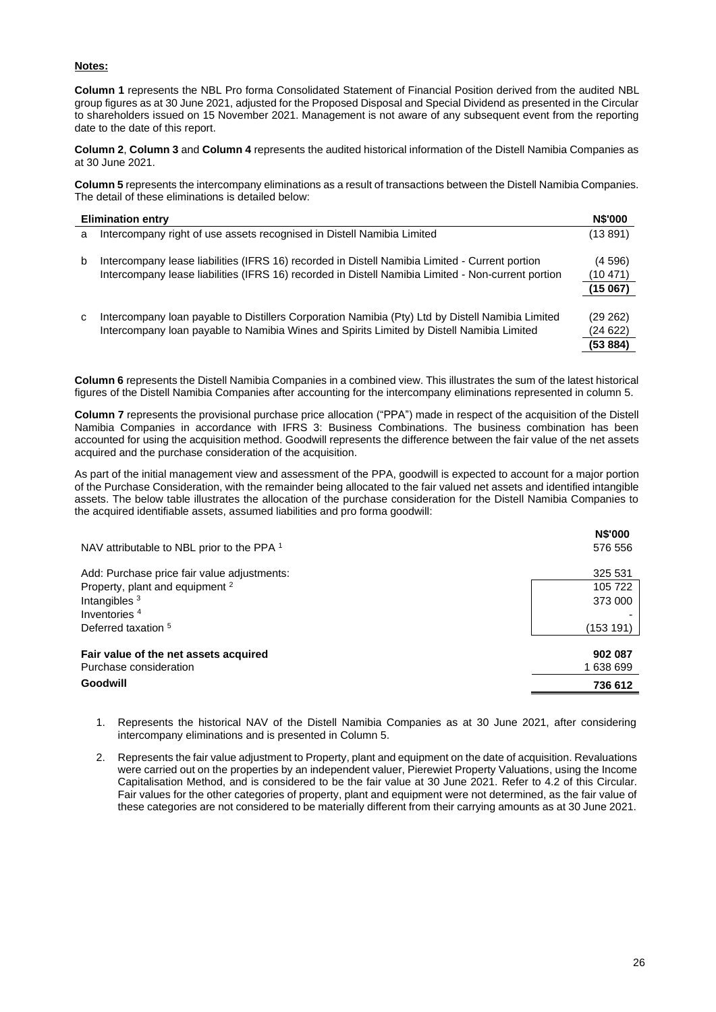## **Notes:**

**Column 1** represents the NBL Pro forma Consolidated Statement of Financial Position derived from the audited NBL group figures as at 30 June 2021, adjusted for the Proposed Disposal and Special Dividend as presented in the Circular to shareholders issued on 15 November 2021. Management is not aware of any subsequent event from the reporting date to the date of this report.

**Column 2**, **Column 3** and **Column 4** represents the audited historical information of the Distell Namibia Companies as at 30 June 2021.

**Column 5** represents the intercompany eliminations as a result of transactions between the Distell Namibia Companies. The detail of these eliminations is detailed below:

|   | <b>Elimination entry</b>                                                                                                                                                                             | <b>N\$'000</b>                  |
|---|------------------------------------------------------------------------------------------------------------------------------------------------------------------------------------------------------|---------------------------------|
| a | Intercompany right of use assets recognised in Distell Namibia Limited                                                                                                                               | (13891)                         |
| b | Intercompany lease liabilities (IFRS 16) recorded in Distell Namibia Limited - Current portion<br>Intercompany lease liabilities (IFRS 16) recorded in Distell Namibia Limited - Non-current portion | (4596)<br>(10471)<br>(15067)    |
| C | Intercompany loan payable to Distillers Corporation Namibia (Pty) Ltd by Distell Namibia Limited<br>Intercompany loan payable to Namibia Wines and Spirits Limited by Distell Namibia Limited        | (29 262)<br>(24622)<br>(53 884) |

**Column 6** represents the Distell Namibia Companies in a combined view. This illustrates the sum of the latest historical figures of the Distell Namibia Companies after accounting for the intercompany eliminations represented in column 5.

**Column 7** represents the provisional purchase price allocation ("PPA") made in respect of the acquisition of the Distell Namibia Companies in accordance with IFRS 3: Business Combinations. The business combination has been accounted for using the acquisition method. Goodwill represents the difference between the fair value of the net assets acquired and the purchase consideration of the acquisition.

As part of the initial management view and assessment of the PPA, goodwill is expected to account for a major portion of the Purchase Consideration, with the remainder being allocated to the fair valued net assets and identified intangible assets. The below table illustrates the allocation of the purchase consideration for the Distell Namibia Companies to the acquired identifiable assets, assumed liabilities and pro forma goodwill:

| NAV attributable to NBL prior to the PPA 1                      | <b>N\$'000</b><br>576 556 |
|-----------------------------------------------------------------|---------------------------|
| Add: Purchase price fair value adjustments:                     | 325 531                   |
| Property, plant and equipment <sup>2</sup>                      | 105 722                   |
| Intangibles $3$                                                 | 373 000                   |
| Inventories <sup>4</sup>                                        |                           |
| Deferred taxation <sup>5</sup>                                  | (153 191)                 |
| Fair value of the net assets acquired<br>Purchase consideration | 902 087<br>1 638 699      |
| Goodwill                                                        | 736 612                   |

- 1. Represents the historical NAV of the Distell Namibia Companies as at 30 June 2021, after considering intercompany eliminations and is presented in Column 5.
- 2. Represents the fair value adjustment to Property, plant and equipment on the date of acquisition. Revaluations were carried out on the properties by an independent valuer, Pierewiet Property Valuations, using the Income Capitalisation Method, and is considered to be the fair value at 30 June 2021. Refer to 4.2 of this Circular. Fair values for the other categories of property, plant and equipment were not determined, as the fair value of these categories are not considered to be materially different from their carrying amounts as at 30 June 2021.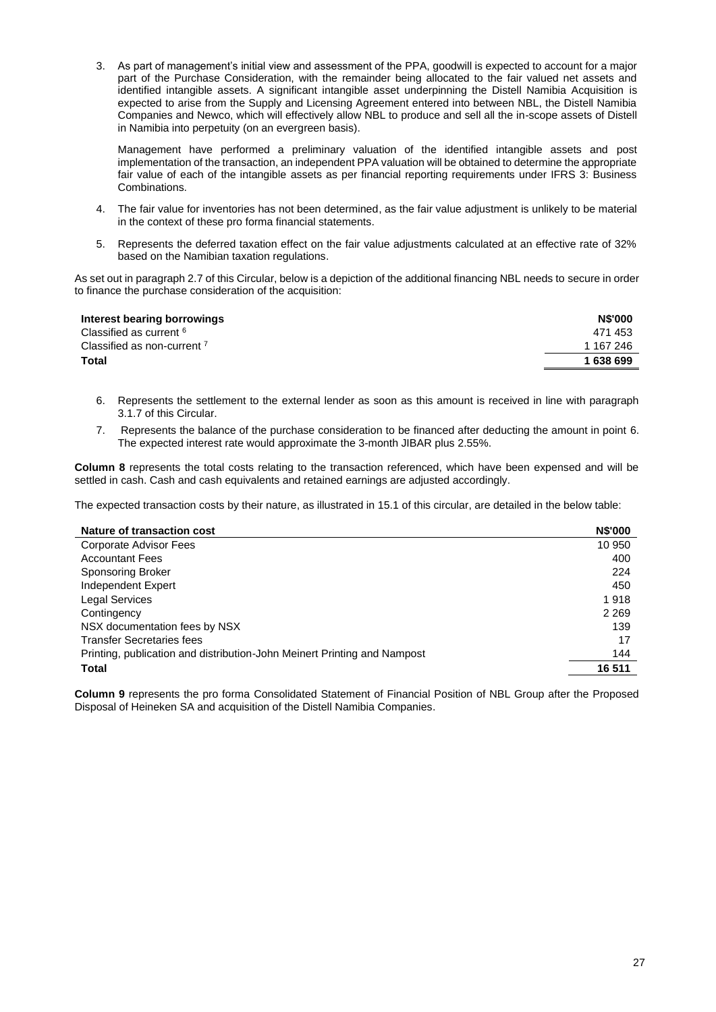3. As part of management's initial view and assessment of the PPA, goodwill is expected to account for a major part of the Purchase Consideration, with the remainder being allocated to the fair valued net assets and identified intangible assets. A significant intangible asset underpinning the Distell Namibia Acquisition is expected to arise from the Supply and Licensing Agreement entered into between NBL, the Distell Namibia Companies and Newco, which will effectively allow NBL to produce and sell all the in-scope assets of Distell in Namibia into perpetuity (on an evergreen basis).

Management have performed a preliminary valuation of the identified intangible assets and post implementation of the transaction, an independent PPA valuation will be obtained to determine the appropriate fair value of each of the intangible assets as per financial reporting requirements under IFRS 3: Business Combinations.

- 4. The fair value for inventories has not been determined, as the fair value adjustment is unlikely to be material in the context of these pro forma financial statements.
- 5. Represents the deferred taxation effect on the fair value adjustments calculated at an effective rate of 32% based on the Namibian taxation regulations.

As set out in paragraph 2.7 of this Circular, below is a depiction of the additional financing NBL needs to secure in order to finance the purchase consideration of the acquisition:

| <b>N\$'000</b> |
|----------------|
| 471 453        |
| 1 167 246      |
| 1 638 699      |
|                |

- 6. Represents the settlement to the external lender as soon as this amount is received in line with paragraph 3.1.7 of this Circular.
- 7. Represents the balance of the purchase consideration to be financed after deducting the amount in point 6. The expected interest rate would approximate the 3-month JIBAR plus 2.55%.

**Column 8** represents the total costs relating to the transaction referenced, which have been expensed and will be settled in cash. Cash and cash equivalents and retained earnings are adjusted accordingly.

The expected transaction costs by their nature, as illustrated in 15.1 of this circular, are detailed in the below table:

| Nature of transaction cost                                               | <b>N\$'000</b> |
|--------------------------------------------------------------------------|----------------|
| Corporate Advisor Fees                                                   | 10 950         |
| <b>Accountant Fees</b>                                                   | 400            |
| <b>Sponsoring Broker</b>                                                 | 224            |
| Independent Expert                                                       | 450            |
| <b>Legal Services</b>                                                    | 1918           |
| Contingency                                                              | 2 2 6 9        |
| NSX documentation fees by NSX                                            | 139            |
| <b>Transfer Secretaries fees</b>                                         | 17             |
| Printing, publication and distribution-John Meinert Printing and Nampost | 144            |
| <b>Total</b>                                                             | 16 511         |

**Column 9** represents the pro forma Consolidated Statement of Financial Position of NBL Group after the Proposed Disposal of Heineken SA and acquisition of the Distell Namibia Companies.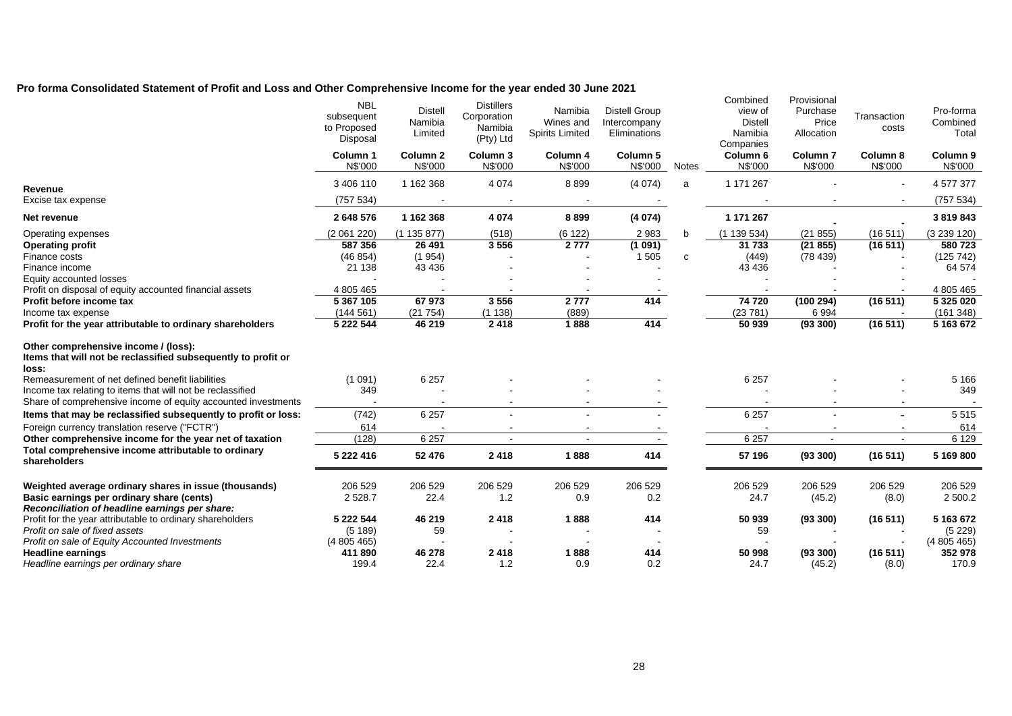## **Pro forma Consolidated Statement of Profit and Loss and Other Comprehensive Income for the year ended 30 June 2021**

|                                                                                                                | <b>NBL</b><br>subsequent<br>to Proposed<br>Disposal | <b>Distell</b><br>Namibia<br>Limited | <b>Distillers</b><br>Corporation<br>Namibia<br>(Pty) Ltd | Namibia<br>Wines and<br><b>Spirits Limited</b> | <b>Distell Group</b><br>Intercompany<br>Eliminations |       | Combined<br>view of<br><b>Distell</b><br>Namibia<br>Companies | Provisional<br>Purchase<br>Price<br>Allocation | Transaction<br>costs     | Pro-forma<br>Combined<br>Total |
|----------------------------------------------------------------------------------------------------------------|-----------------------------------------------------|--------------------------------------|----------------------------------------------------------|------------------------------------------------|------------------------------------------------------|-------|---------------------------------------------------------------|------------------------------------------------|--------------------------|--------------------------------|
|                                                                                                                | Column <sub>1</sub><br>N\$'000                      | Column <sub>2</sub><br>N\$'000       | Column 3<br>N\$'000                                      | Column 4<br>N\$'000                            | Column 5<br>N\$'000                                  | Notes | Column 6<br>N\$'000                                           | Column <sub>7</sub><br>N\$'000                 | Column 8<br>N\$'000      | Column <sub>9</sub><br>N\$'000 |
| Revenue                                                                                                        | 3 406 110                                           | 1 162 368                            | 4 0 7 4                                                  | 8899                                           | (4074)                                               | a     | 1 171 267                                                     |                                                | $\sim$                   | 4 577 377                      |
| Excise tax expense                                                                                             | (757534)                                            |                                      |                                                          |                                                |                                                      |       |                                                               |                                                | $\overline{\phantom{a}}$ | (757 534)                      |
| Net revenue                                                                                                    | 2 648 576                                           | 1 162 368                            | 4 0 74                                                   | 8899                                           | (4074)                                               |       | 1 171 267                                                     |                                                |                          | 3 819 843                      |
| Operating expenses                                                                                             | (2061220)                                           | (1135877)                            | (518)                                                    | (6122)                                         | 2983                                                 | b     | (1139534)                                                     | (21855)                                        | (16511)                  | (3 239 120)                    |
| <b>Operating profit</b>                                                                                        | 587 356                                             | 26 491                               | 3556                                                     | 2777                                           | (1091)                                               |       | 31 733                                                        | (21855)                                        | (16511)                  | 580723                         |
| Finance costs                                                                                                  | (46854)                                             | (1954)                               |                                                          |                                                | 1 5 0 5                                              | C     | (449)                                                         | (78439)                                        |                          | (125742)                       |
| Finance income                                                                                                 | 21 138                                              | 43 4 36                              |                                                          |                                                |                                                      |       | 43 4 36                                                       |                                                |                          | 64 574                         |
| Equity accounted losses                                                                                        |                                                     |                                      |                                                          |                                                |                                                      |       |                                                               |                                                |                          |                                |
| Profit on disposal of equity accounted financial assets                                                        | 4 805 465                                           |                                      |                                                          |                                                |                                                      |       |                                                               |                                                |                          | 4 805 465                      |
| Profit before income tax                                                                                       | 5 367 105                                           | 67973                                | 3556                                                     | 2777                                           | 414                                                  |       | 74720                                                         | (100 294)                                      | (16511)                  | 5 325 020                      |
| Income tax expense                                                                                             | (144561)                                            | (21754)                              | (1138)                                                   | (889)                                          |                                                      |       | (23781)                                                       | 6994                                           |                          | (161 348)                      |
| Profit for the year attributable to ordinary shareholders                                                      | 5 222 544                                           | 46 219                               | 2 4 1 8                                                  | 1888                                           | 414                                                  |       | 50 939                                                        | (93 300)                                       | (16511)                  | 5 163 672                      |
| Other comprehensive income / (loss):<br>Items that will not be reclassified subsequently to profit or<br>loss: |                                                     |                                      |                                                          |                                                |                                                      |       |                                                               |                                                |                          |                                |
| Remeasurement of net defined benefit liabilities                                                               | (1091)                                              | 6 2 5 7                              |                                                          |                                                |                                                      |       | 6 2 5 7                                                       |                                                |                          | 5 1 6 6                        |
| Income tax relating to items that will not be reclassified                                                     | 349                                                 |                                      |                                                          |                                                |                                                      |       |                                                               |                                                |                          | 349                            |
| Share of comprehensive income of equity accounted investments                                                  |                                                     |                                      |                                                          |                                                |                                                      |       |                                                               |                                                |                          |                                |
| Items that may be reclassified subsequently to profit or loss:                                                 | (742)                                               | 6 2 5 7                              |                                                          |                                                |                                                      |       | 6 2 5 7                                                       |                                                |                          | 5 5 1 5                        |
| Foreign currency translation reserve ("FCTR")                                                                  | 614                                                 |                                      |                                                          |                                                |                                                      |       |                                                               |                                                |                          | 614                            |
| Other comprehensive income for the year net of taxation                                                        | (128)                                               | 6 2 5 7                              |                                                          |                                                | $\sim$                                               |       | 6 2 5 7                                                       |                                                | $\sim$                   | 6 1 2 9                        |
| Total comprehensive income attributable to ordinary<br>shareholders                                            | 5 222 416                                           | 52 476                               | 2 4 1 8                                                  | 1888                                           | 414                                                  |       | 57 196                                                        | (93 300)                                       | (16511)                  | 5 169 800                      |
| Weighted average ordinary shares in issue (thousands)                                                          | 206 529                                             | 206 529                              | 206 529                                                  | 206 529                                        | 206 529                                              |       | 206 529                                                       | 206 529                                        | 206 529                  | 206 529                        |
| Basic earnings per ordinary share (cents)<br>Reconciliation of headline earnings per share:                    | 2 5 28.7                                            | 22.4                                 | 1.2                                                      | 0.9                                            | 0.2                                                  |       | 24.7                                                          | (45.2)                                         | (8.0)                    | 2 500.2                        |
| Profit for the year attributable to ordinary shareholders                                                      | 5 222 544                                           | 46 219                               | 2418                                                     | 1888                                           | 414                                                  |       | 50 939                                                        | (93 300)                                       | (16511)                  | 5 163 672                      |
| Profit on sale of fixed assets                                                                                 | (5189)                                              | 59                                   |                                                          |                                                |                                                      |       | 59                                                            |                                                |                          | (5229)                         |
| Profit on sale of Equity Accounted Investments                                                                 | (4805465)                                           |                                      |                                                          |                                                |                                                      |       |                                                               |                                                |                          | (4805465)                      |
| <b>Headline earnings</b>                                                                                       | 411 890                                             | 46 278                               | 2418                                                     | 1888                                           | 414                                                  |       | 50 998                                                        | (93 300)                                       | (16511)                  | 352 978                        |
| Headline earnings per ordinary share                                                                           | 199.4                                               | 22.4                                 | 1.2                                                      | 0.9                                            | 0.2                                                  |       | 24.7                                                          | (45.2)                                         | (8.0)                    | 170.9                          |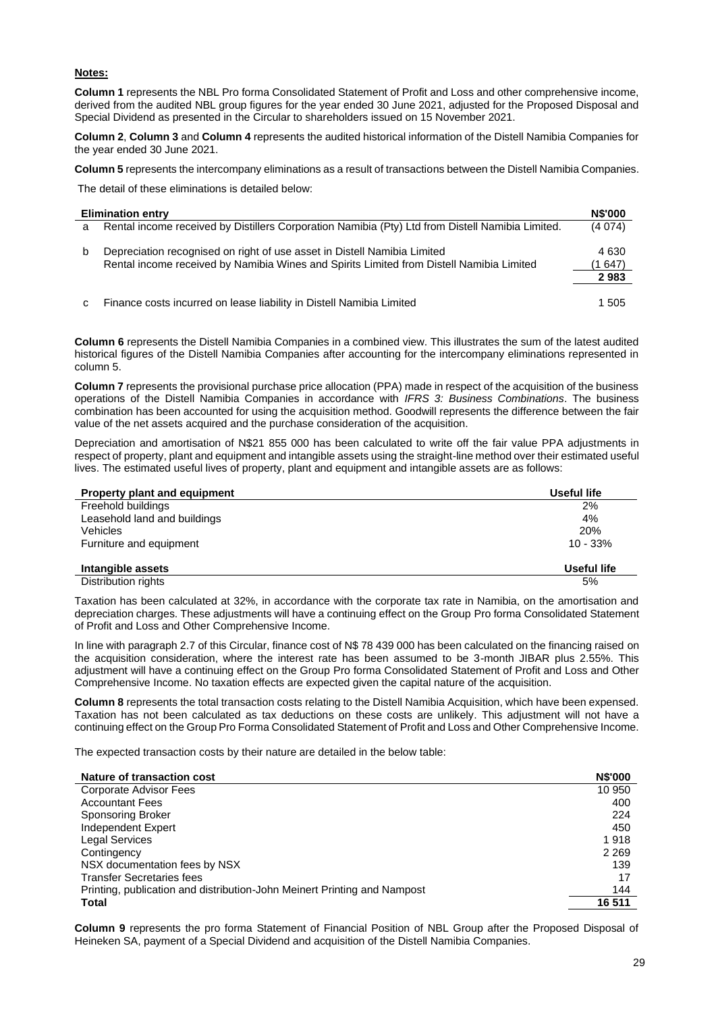## **Notes:**

**Column 1** represents the NBL Pro forma Consolidated Statement of Profit and Loss and other comprehensive income, derived from the audited NBL group figures for the year ended 30 June 2021, adjusted for the Proposed Disposal and Special Dividend as presented in the Circular to shareholders issued on 15 November 2021.

**Column 2**, **Column 3** and **Column 4** represents the audited historical information of the Distell Namibia Companies for the year ended 30 June 2021.

**Column 5** represents the intercompany eliminations as a result of transactions between the Distell Namibia Companies.

The detail of these eliminations is detailed below:

|   | <b>Elimination entry</b>                                                                                                                                             | <b>N\$'000</b>             |
|---|----------------------------------------------------------------------------------------------------------------------------------------------------------------------|----------------------------|
| a | Rental income received by Distillers Corporation Namibia (Pty) Ltd from Distell Namibia Limited.                                                                     | (4074)                     |
| b | Depreciation recognised on right of use asset in Distell Namibia Limited<br>Rental income received by Namibia Wines and Spirits Limited from Distell Namibia Limited | 4 6 3 0<br>(1 647)<br>2983 |
| с | Finance costs incurred on lease liability in Distell Namibia Limited                                                                                                 | 1 505                      |

**Column 6** represents the Distell Namibia Companies in a combined view. This illustrates the sum of the latest audited historical figures of the Distell Namibia Companies after accounting for the intercompany eliminations represented in column 5.

**Column 7** represents the provisional purchase price allocation (PPA) made in respect of the acquisition of the business operations of the Distell Namibia Companies in accordance with *IFRS 3: Business Combinations*. The business combination has been accounted for using the acquisition method. Goodwill represents the difference between the fair value of the net assets acquired and the purchase consideration of the acquisition.

Depreciation and amortisation of N\$21 855 000 has been calculated to write off the fair value PPA adjustments in respect of property, plant and equipment and intangible assets using the straight-line method over their estimated useful lives. The estimated useful lives of property, plant and equipment and intangible assets are as follows:

| <b>Property plant and equipment</b> | Useful life |
|-------------------------------------|-------------|
| Freehold buildings                  | 2%          |
| Leasehold land and buildings        | 4%          |
| Vehicles                            | 20%         |
| Furniture and equipment             | $10 - 33%$  |
| Intangible assets                   | Useful life |
| Distribution rights                 | 5%          |

Taxation has been calculated at 32%, in accordance with the corporate tax rate in Namibia, on the amortisation and depreciation charges. These adjustments will have a continuing effect on the Group Pro forma Consolidated Statement of Profit and Loss and Other Comprehensive Income.

In line with paragraph 2.7 of this Circular, finance cost of N\$ 78 439 000 has been calculated on the financing raised on the acquisition consideration, where the interest rate has been assumed to be 3-month JIBAR plus 2.55%. This adjustment will have a continuing effect on the Group Pro forma Consolidated Statement of Profit and Loss and Other Comprehensive Income. No taxation effects are expected given the capital nature of the acquisition.

**Column 8** represents the total transaction costs relating to the Distell Namibia Acquisition, which have been expensed. Taxation has not been calculated as tax deductions on these costs are unlikely. This adjustment will not have a continuing effect on the Group Pro Forma Consolidated Statement of Profit and Loss and Other Comprehensive Income.

The expected transaction costs by their nature are detailed in the below table:

| Nature of transaction cost                                               | <b>N\$'000</b> |
|--------------------------------------------------------------------------|----------------|
| Corporate Advisor Fees                                                   | 10 950         |
| <b>Accountant Fees</b>                                                   | 400            |
| Sponsoring Broker                                                        | 224            |
| Independent Expert                                                       | 450            |
| <b>Legal Services</b>                                                    | 1918           |
| Contingency                                                              | 2 2 6 9        |
| NSX documentation fees by NSX                                            | 139            |
| <b>Transfer Secretaries fees</b>                                         | 17             |
| Printing, publication and distribution-John Meinert Printing and Nampost | 144            |
| <b>Total</b>                                                             | 16 511         |

**Column 9** represents the pro forma Statement of Financial Position of NBL Group after the Proposed Disposal of Heineken SA, payment of a Special Dividend and acquisition of the Distell Namibia Companies.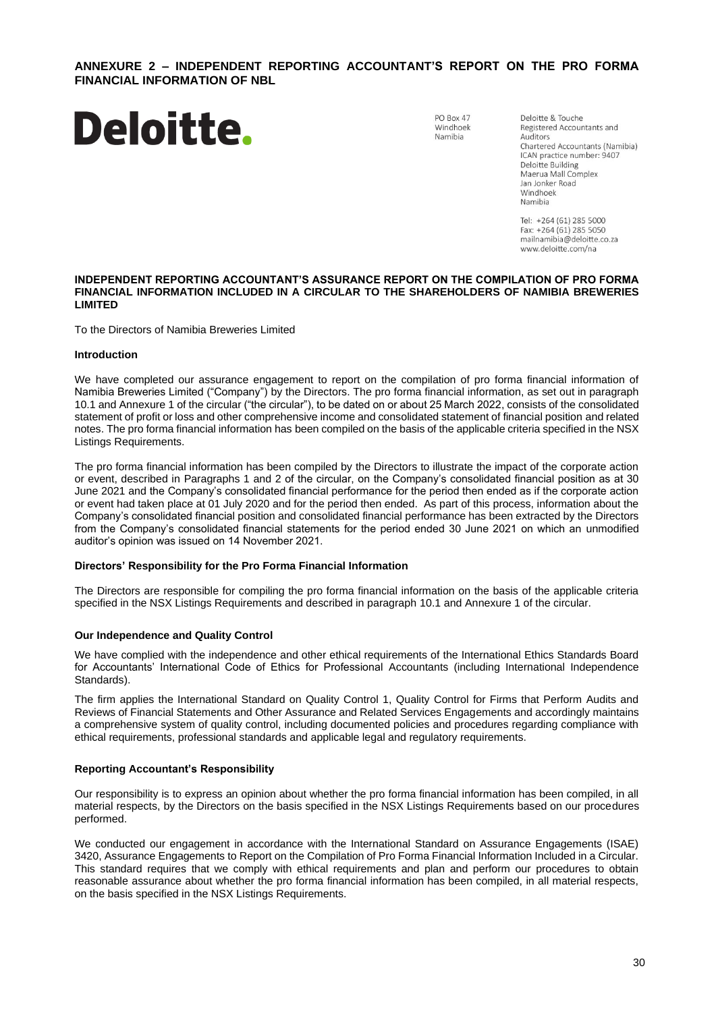## <span id="page-29-0"></span>**ANNEXURE 2 – INDEPENDENT REPORTING ACCOUNTANT'S REPORT ON THE PRO FORMA FINANCIAL INFORMATION OF NBL**



PO Box 47 Windhoek Namibia

Deloitte & Touche Registered Accountants and Auditors Chartered Accountants (Namibia) ICAN practice number: 9407 Deloitte Building Maerua Mall Complex Jan Jonker Road Windhoek Namibia

Tel: +264 (61) 285 5000 Fax: +264 (61) 285 5050 mailnamibia@deloitte.co.za www.deloitte.com/na

#### **INDEPENDENT REPORTING ACCOUNTANT'S ASSURANCE REPORT ON THE COMPILATION OF PRO FORMA FINANCIAL INFORMATION INCLUDED IN A CIRCULAR TO THE SHAREHOLDERS OF NAMIBIA BREWERIES LIMITED**

To the Directors of Namibia Breweries Limited

## **Introduction**

We have completed our assurance engagement to report on the compilation of pro forma financial information of Namibia Breweries Limited ("Company") by the Directors. The pro forma financial information, as set out in paragraph 10.1 and Annexure 1 of the circular ("the circular"), to be dated on or about 25 March 2022, consists of the consolidated statement of profit or loss and other comprehensive income and consolidated statement of financial position and related notes. The pro forma financial information has been compiled on the basis of the applicable criteria specified in the NSX Listings Requirements.

The pro forma financial information has been compiled by the Directors to illustrate the impact of the corporate action or event, described in Paragraphs 1 and 2 of the circular, on the Company's consolidated financial position as at 30 June 2021 and the Company's consolidated financial performance for the period then ended as if the corporate action or event had taken place at 01 July 2020 and for the period then ended. As part of this process, information about the Company's consolidated financial position and consolidated financial performance has been extracted by the Directors from the Company's consolidated financial statements for the period ended 30 June 2021 on which an unmodified auditor's opinion was issued on 14 November 2021.

## **Directors' Responsibility for the Pro Forma Financial Information**

The Directors are responsible for compiling the pro forma financial information on the basis of the applicable criteria specified in the NSX Listings Requirements and described in paragraph 10.1 and Annexure 1 of the circular.

## **Our Independence and Quality Control**

We have complied with the independence and other ethical requirements of the International Ethics Standards Board for Accountants' International Code of Ethics for Professional Accountants (including International Independence Standards).

The firm applies the International Standard on Quality Control 1, Quality Control for Firms that Perform Audits and Reviews of Financial Statements and Other Assurance and Related Services Engagements and accordingly maintains a comprehensive system of quality control, including documented policies and procedures regarding compliance with ethical requirements, professional standards and applicable legal and regulatory requirements.

## **Reporting Accountant's Responsibility**

Our responsibility is to express an opinion about whether the pro forma financial information has been compiled, in all material respects, by the Directors on the basis specified in the NSX Listings Requirements based on our procedures performed.

We conducted our engagement in accordance with the International Standard on Assurance Engagements (ISAE) 3420, Assurance Engagements to Report on the Compilation of Pro Forma Financial Information Included in a Circular. This standard requires that we comply with ethical requirements and plan and perform our procedures to obtain reasonable assurance about whether the pro forma financial information has been compiled, in all material respects, on the basis specified in the NSX Listings Requirements.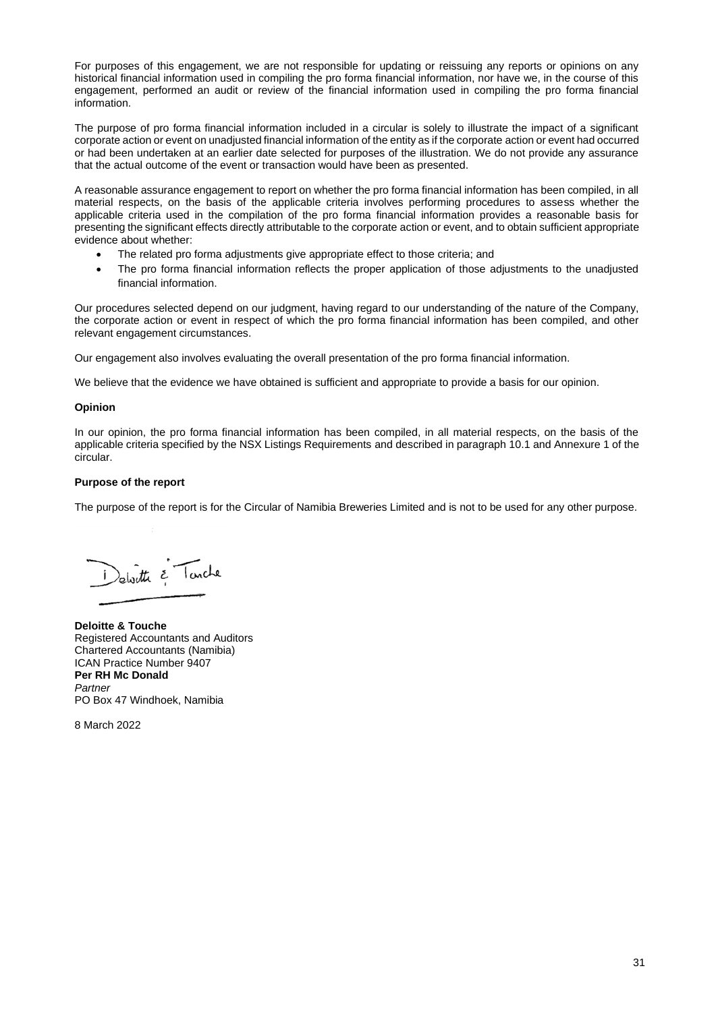For purposes of this engagement, we are not responsible for updating or reissuing any reports or opinions on any historical financial information used in compiling the pro forma financial information, nor have we, in the course of this engagement, performed an audit or review of the financial information used in compiling the pro forma financial information.

The purpose of pro forma financial information included in a circular is solely to illustrate the impact of a significant corporate action or event on unadjusted financial information of the entity as if the corporate action or event had occurred or had been undertaken at an earlier date selected for purposes of the illustration. We do not provide any assurance that the actual outcome of the event or transaction would have been as presented.

A reasonable assurance engagement to report on whether the pro forma financial information has been compiled, in all material respects, on the basis of the applicable criteria involves performing procedures to assess whether the applicable criteria used in the compilation of the pro forma financial information provides a reasonable basis for presenting the significant effects directly attributable to the corporate action or event, and to obtain sufficient appropriate evidence about whether:

- The related pro forma adjustments give appropriate effect to those criteria; and
- The pro forma financial information reflects the proper application of those adjustments to the unadjusted financial information.

Our procedures selected depend on our judgment, having regard to our understanding of the nature of the Company, the corporate action or event in respect of which the pro forma financial information has been compiled, and other relevant engagement circumstances.

Our engagement also involves evaluating the overall presentation of the pro forma financial information.

We believe that the evidence we have obtained is sufficient and appropriate to provide a basis for our opinion.

## **Opinion**

In our opinion, the pro forma financial information has been compiled, in all material respects, on the basis of the applicable criteria specified by the NSX Listings Requirements and described in paragraph 10.1 and Annexure 1 of the circular.

## **Purpose of the report**

The purpose of the report is for the Circular of Namibia Breweries Limited and is not to be used for any other purpose.

Delaitte & Tunche

**Deloitte & Touche** Registered Accountants and Auditors Chartered Accountants (Namibia) ICAN Practice Number 9407 **Per RH Mc Donald** *Partner* PO Box 47 Windhoek, Namibia

8 March 2022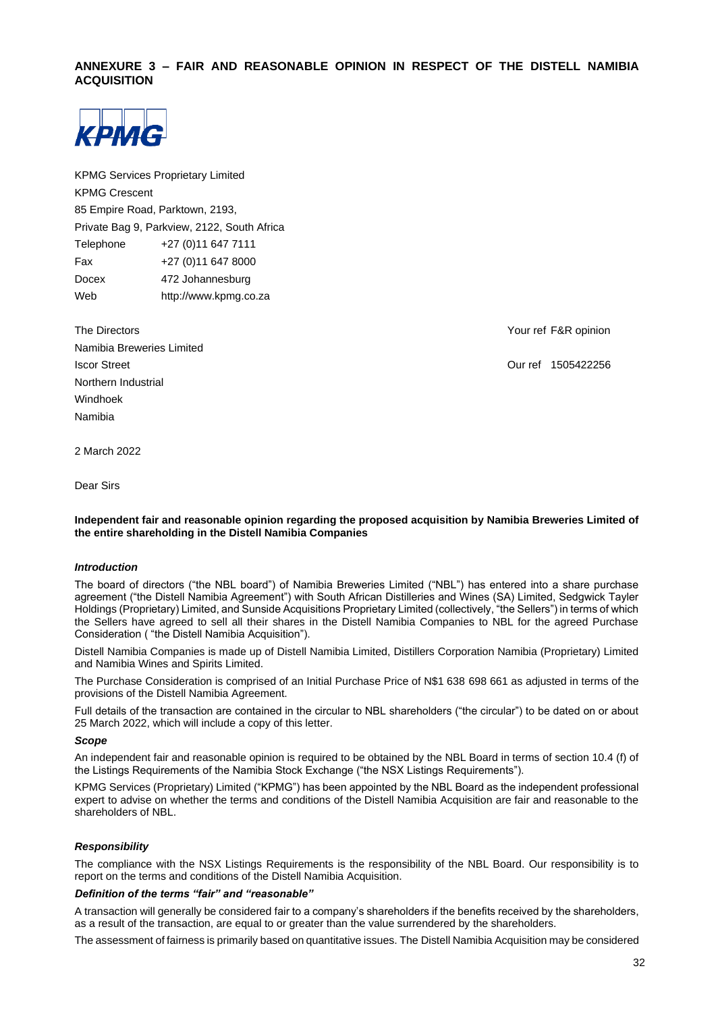## <span id="page-31-0"></span>**ANNEXURE 3 – FAIR AND REASONABLE OPINION IN RESPECT OF THE DISTELL NAMIBIA ACQUISITION**



KPMG Services Proprietary Limited KPMG Crescent 85 Empire Road, Parktown, 2193, Private Bag 9, Parkview, 2122, South Africa Telephone +27 (0)11 647 7111 Fax +27 (0)11 647 8000 Docex 472 Johannesburg Web http://www.kpmg.co.za

| The Directors             |
|---------------------------|
| Namibia Breweries Limited |
| <b>Iscor Street</b>       |
| Northern Industrial       |
| Windhoek                  |
| Namibia                   |

Your ref F&R opinion

Our ref 1505422256

2 March 2022

Dear Sirs

## **Independent fair and reasonable opinion regarding the proposed acquisition by Namibia Breweries Limited of the entire shareholding in the Distell Namibia Companies**

## *Introduction*

The board of directors ("the NBL board") of Namibia Breweries Limited ("NBL") has entered into a share purchase agreement ("the Distell Namibia Agreement") with South African Distilleries and Wines (SA) Limited, Sedgwick Tayler Holdings (Proprietary) Limited, and Sunside Acquisitions Proprietary Limited (collectively, "the Sellers") in terms of which the Sellers have agreed to sell all their shares in the Distell Namibia Companies to NBL for the agreed Purchase Consideration ( "the Distell Namibia Acquisition").

Distell Namibia Companies is made up of Distell Namibia Limited, Distillers Corporation Namibia (Proprietary) Limited and Namibia Wines and Spirits Limited.

The Purchase Consideration is comprised of an Initial Purchase Price of N\$1 638 698 661 as adjusted in terms of the provisions of the Distell Namibia Agreement.

Full details of the transaction are contained in the circular to NBL shareholders ("the circular") to be dated on or about 25 March 2022, which will include a copy of this letter.

#### *Scope*

An independent fair and reasonable opinion is required to be obtained by the NBL Board in terms of section 10.4 (f) of the Listings Requirements of the Namibia Stock Exchange ("the NSX Listings Requirements").

KPMG Services (Proprietary) Limited ("KPMG") has been appointed by the NBL Board as the independent professional expert to advise on whether the terms and conditions of the Distell Namibia Acquisition are fair and reasonable to the shareholders of NBL.

## *Responsibility*

The compliance with the NSX Listings Requirements is the responsibility of the NBL Board. Our responsibility is to report on the terms and conditions of the Distell Namibia Acquisition.

## *Definition of the terms "fair" and "reasonable"*

A transaction will generally be considered fair to a company's shareholders if the benefits received by the shareholders, as a result of the transaction, are equal to or greater than the value surrendered by the shareholders.

The assessment of fairness is primarily based on quantitative issues. The Distell Namibia Acquisition may be considered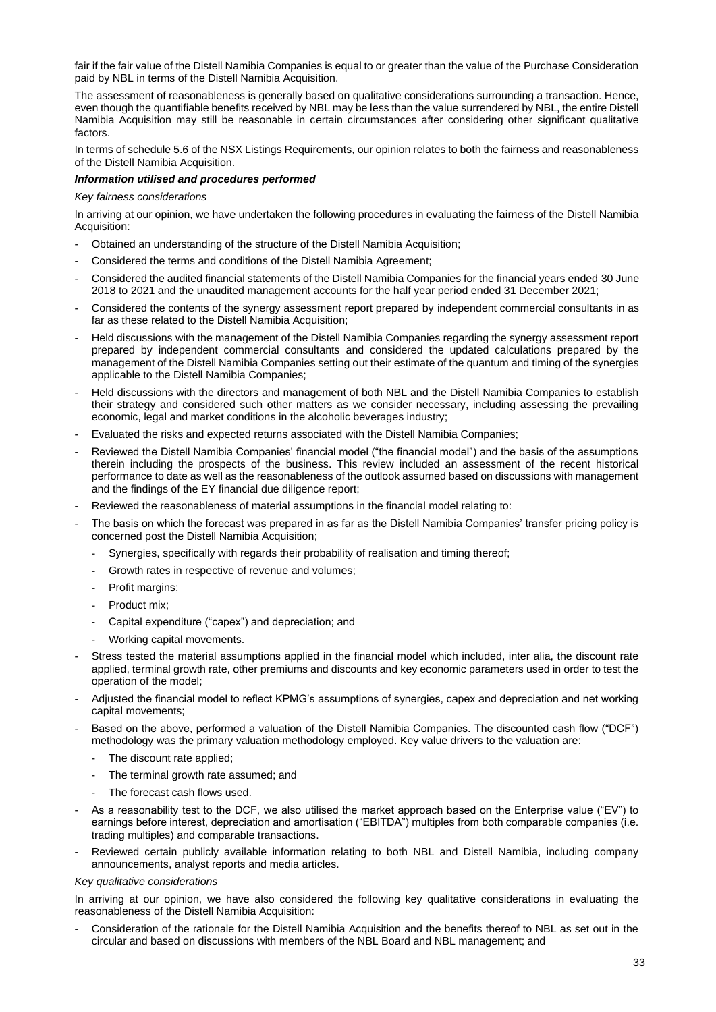fair if the fair value of the Distell Namibia Companies is equal to or greater than the value of the Purchase Consideration paid by NBL in terms of the Distell Namibia Acquisition.

The assessment of reasonableness is generally based on qualitative considerations surrounding a transaction. Hence, even though the quantifiable benefits received by NBL may be less than the value surrendered by NBL, the entire Distell Namibia Acquisition may still be reasonable in certain circumstances after considering other significant qualitative factors.

In terms of schedule 5.6 of the NSX Listings Requirements, our opinion relates to both the fairness and reasonableness of the Distell Namibia Acquisition.

## *Information utilised and procedures performed*

## *Key fairness considerations*

In arriving at our opinion, we have undertaken the following procedures in evaluating the fairness of the Distell Namibia Acquisition:

- Obtained an understanding of the structure of the Distell Namibia Acquisition;
- Considered the terms and conditions of the Distell Namibia Agreement;
- Considered the audited financial statements of the Distell Namibia Companies for the financial years ended 30 June 2018 to 2021 and the unaudited management accounts for the half year period ended 31 December 2021;
- Considered the contents of the synergy assessment report prepared by independent commercial consultants in as far as these related to the Distell Namibia Acquisition;
- Held discussions with the management of the Distell Namibia Companies regarding the synergy assessment report prepared by independent commercial consultants and considered the updated calculations prepared by the management of the Distell Namibia Companies setting out their estimate of the quantum and timing of the synergies applicable to the Distell Namibia Companies;
- Held discussions with the directors and management of both NBL and the Distell Namibia Companies to establish their strategy and considered such other matters as we consider necessary, including assessing the prevailing economic, legal and market conditions in the alcoholic beverages industry;
- Evaluated the risks and expected returns associated with the Distell Namibia Companies;
- Reviewed the Distell Namibia Companies' financial model ("the financial model") and the basis of the assumptions therein including the prospects of the business. This review included an assessment of the recent historical performance to date as well as the reasonableness of the outlook assumed based on discussions with management and the findings of the EY financial due diligence report;
- Reviewed the reasonableness of material assumptions in the financial model relating to:
- The basis on which the forecast was prepared in as far as the Distell Namibia Companies' transfer pricing policy is concerned post the Distell Namibia Acquisition;
	- Synergies, specifically with regards their probability of realisation and timing thereof;
	- Growth rates in respective of revenue and volumes;
	- Profit margins:
	- Product mix:
	- Capital expenditure ("capex") and depreciation; and
	- Working capital movements.
- Stress tested the material assumptions applied in the financial model which included, inter alia, the discount rate applied, terminal growth rate, other premiums and discounts and key economic parameters used in order to test the operation of the model;
- Adjusted the financial model to reflect KPMG's assumptions of synergies, capex and depreciation and net working capital movements;
- Based on the above, performed a valuation of the Distell Namibia Companies. The discounted cash flow ("DCF") methodology was the primary valuation methodology employed. Key value drivers to the valuation are:
	- The discount rate applied;
	- The terminal growth rate assumed; and
	- The forecast cash flows used.
- As a reasonability test to the DCF, we also utilised the market approach based on the Enterprise value ("EV") to earnings before interest, depreciation and amortisation ("EBITDA") multiples from both comparable companies (i.e. trading multiples) and comparable transactions.
- Reviewed certain publicly available information relating to both NBL and Distell Namibia, including company announcements, analyst reports and media articles.

#### *Key qualitative considerations*

In arriving at our opinion, we have also considered the following key qualitative considerations in evaluating the reasonableness of the Distell Namibia Acquisition:

Consideration of the rationale for the Distell Namibia Acquisition and the benefits thereof to NBL as set out in the circular and based on discussions with members of the NBL Board and NBL management; and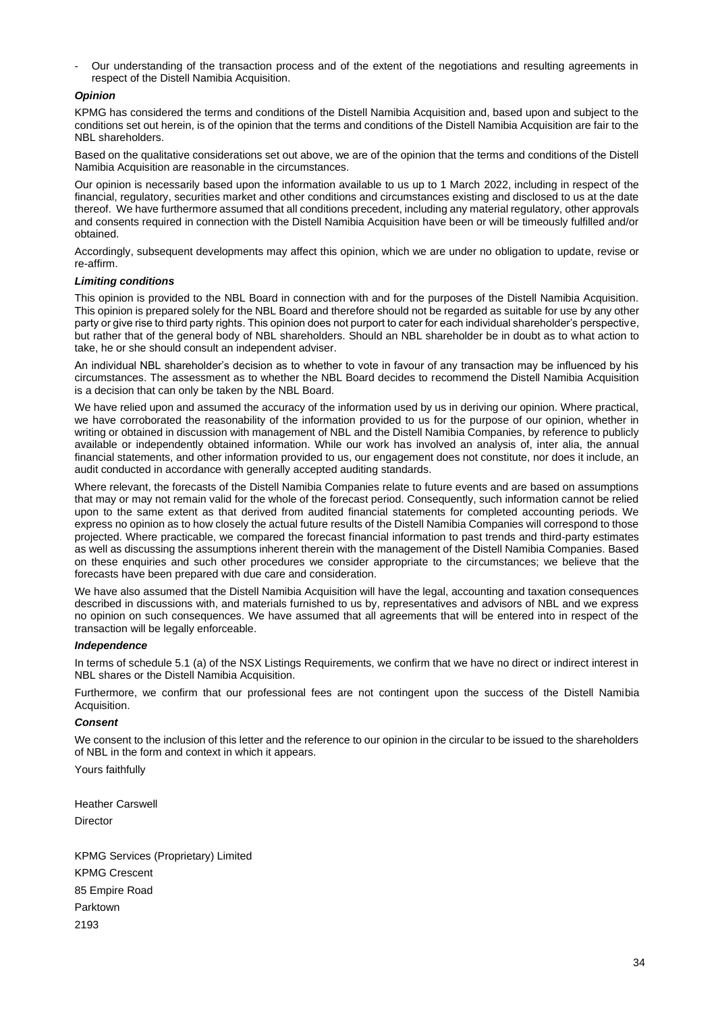- Our understanding of the transaction process and of the extent of the negotiations and resulting agreements in respect of the Distell Namibia Acquisition.

## *Opinion*

KPMG has considered the terms and conditions of the Distell Namibia Acquisition and, based upon and subject to the conditions set out herein, is of the opinion that the terms and conditions of the Distell Namibia Acquisition are fair to the NBL shareholders.

Based on the qualitative considerations set out above, we are of the opinion that the terms and conditions of the Distell Namibia Acquisition are reasonable in the circumstances.

Our opinion is necessarily based upon the information available to us up to 1 March 2022, including in respect of the financial, regulatory, securities market and other conditions and circumstances existing and disclosed to us at the date thereof. We have furthermore assumed that all conditions precedent, including any material regulatory, other approvals and consents required in connection with the Distell Namibia Acquisition have been or will be timeously fulfilled and/or obtained.

Accordingly, subsequent developments may affect this opinion, which we are under no obligation to update, revise or re-affirm.

## *Limiting conditions*

This opinion is provided to the NBL Board in connection with and for the purposes of the Distell Namibia Acquisition. This opinion is prepared solely for the NBL Board and therefore should not be regarded as suitable for use by any other party or give rise to third party rights. This opinion does not purport to cater for each individual shareholder's perspective, but rather that of the general body of NBL shareholders. Should an NBL shareholder be in doubt as to what action to take, he or she should consult an independent adviser.

An individual NBL shareholder's decision as to whether to vote in favour of any transaction may be influenced by his circumstances. The assessment as to whether the NBL Board decides to recommend the Distell Namibia Acquisition is a decision that can only be taken by the NBL Board.

We have relied upon and assumed the accuracy of the information used by us in deriving our opinion. Where practical, we have corroborated the reasonability of the information provided to us for the purpose of our opinion, whether in writing or obtained in discussion with management of NBL and the Distell Namibia Companies, by reference to publicly available or independently obtained information. While our work has involved an analysis of, inter alia, the annual financial statements, and other information provided to us, our engagement does not constitute, nor does it include, an audit conducted in accordance with generally accepted auditing standards.

Where relevant, the forecasts of the Distell Namibia Companies relate to future events and are based on assumptions that may or may not remain valid for the whole of the forecast period. Consequently, such information cannot be relied upon to the same extent as that derived from audited financial statements for completed accounting periods. We express no opinion as to how closely the actual future results of the Distell Namibia Companies will correspond to those projected. Where practicable, we compared the forecast financial information to past trends and third-party estimates as well as discussing the assumptions inherent therein with the management of the Distell Namibia Companies. Based on these enquiries and such other procedures we consider appropriate to the circumstances; we believe that the forecasts have been prepared with due care and consideration.

We have also assumed that the Distell Namibia Acquisition will have the legal, accounting and taxation consequences described in discussions with, and materials furnished to us by, representatives and advisors of NBL and we express no opinion on such consequences. We have assumed that all agreements that will be entered into in respect of the transaction will be legally enforceable.

#### *Independence*

In terms of schedule 5.1 (a) of the NSX Listings Requirements, we confirm that we have no direct or indirect interest in NBL shares or the Distell Namibia Acquisition.

Furthermore, we confirm that our professional fees are not contingent upon the success of the Distell Namibia Acquisition.

#### *Consent*

We consent to the inclusion of this letter and the reference to our opinion in the circular to be issued to the shareholders of NBL in the form and context in which it appears.

Yours faithfully

Heather Carswell Director

KPMG Services (Proprietary) Limited KPMG Crescent 85 Empire Road Parktown 2193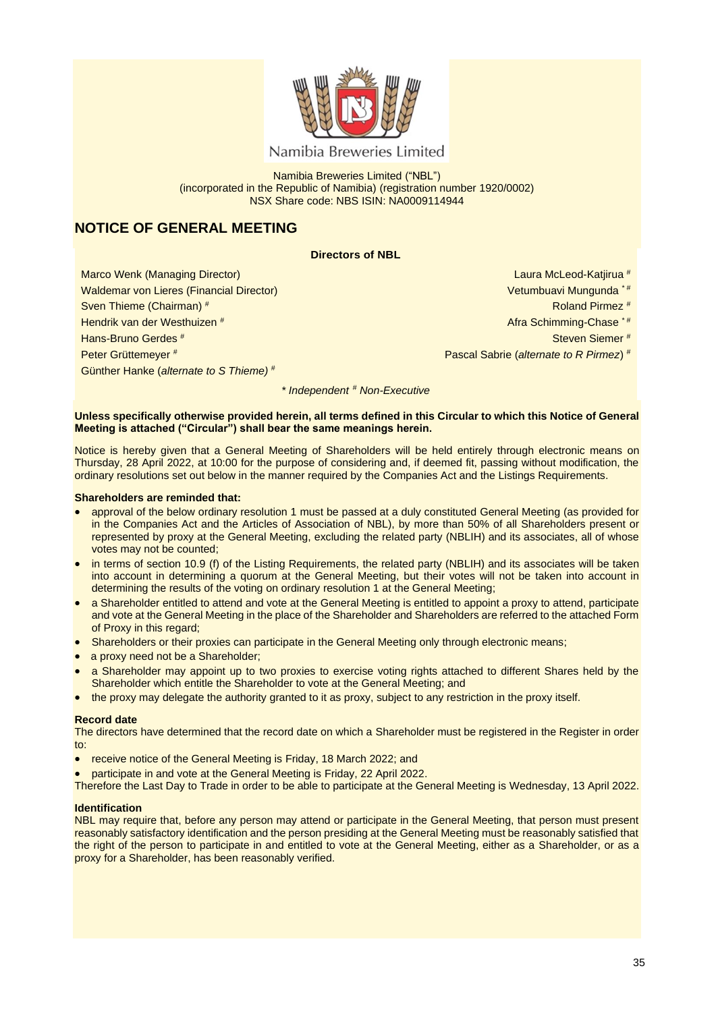

Namibia Breweries Limited

Namibia Breweries Limited ("NBL") (incorporated in the Republic of Namibia) (registration number 1920/0002) NSX Share code: NBS ISIN: NA0009114944

# **NOTICE OF GENERAL MEETING**

## **Directors of NBL**

Marco Wenk (Managing Director) Waldemar von Lieres (Financial Director) Sven Thieme (Chairman) # Hendrik van der Westhuizen # Hans-Bruno Gerdes # Peter Grüttemeyer # Günther Hanke (*alternate to S Thieme)* #

Laura McLeod-Katjirua #

- Vetumbuavi Mungunda \* #
	- Roland Pirmez #
- Afra Schimming-Chase \* #
	- Steven Siemer #
- Pascal Sabrie (*alternate to R Pirmez*) #

*\* Independent # Non-Executive*

## **Unless specifically otherwise provided herein, all terms defined in this Circular to which this Notice of General Meeting is attached ("Circular") shall bear the same meanings herein.**

Notice is hereby given that a General Meeting of Shareholders will be held entirely through electronic means on Thursday, 28 April 2022, at 10:00 for the purpose of considering and, if deemed fit, passing without modification, the ordinary resolutions set out below in the manner required by the Companies Act and the Listings Requirements.

## **Shareholders are reminded that:**

- approval of the below ordinary resolution 1 must be passed at a duly constituted General Meeting (as provided for in the Companies Act and the Articles of Association of NBL), by more than 50% of all Shareholders present or represented by proxy at the General Meeting, excluding the related party (NBLIH) and its associates, all of whose votes may not be counted;
- in terms of section 10.9 (f) of the Listing Requirements, the related party (NBLIH) and its associates will be taken into account in determining a quorum at the General Meeting, but their votes will not be taken into account in determining the results of the voting on ordinary resolution 1 at the General Meeting;
- a Shareholder entitled to attend and vote at the General Meeting is entitled to appoint a proxy to attend, participate and vote at the General Meeting in the place of the Shareholder and Shareholders are referred to the attached Form of Proxy in this regard;
- Shareholders or their proxies can participate in the General Meeting only through electronic means;
- a proxy need not be a Shareholder;
- a Shareholder may appoint up to two proxies to exercise voting rights attached to different Shares held by the Shareholder which entitle the Shareholder to vote at the General Meeting; and
- the proxy may delegate the authority granted to it as proxy, subject to any restriction in the proxy itself.

## **Record date**

The directors have determined that the record date on which a Shareholder must be registered in the Register in order to:

- receive notice of the General Meeting is Friday, 18 March 2022; and
- participate in and vote at the General Meeting is Friday, 22 April 2022.

Therefore the Last Day to Trade in order to be able to participate at the General Meeting is Wednesday, 13 April 2022.

## **Identification**

NBL may require that, before any person may attend or participate in the General Meeting, that person must present reasonably satisfactory identification and the person presiding at the General Meeting must be reasonably satisfied that the right of the person to participate in and entitled to vote at the General Meeting, either as a Shareholder, or as a proxy for a Shareholder, has been reasonably verified.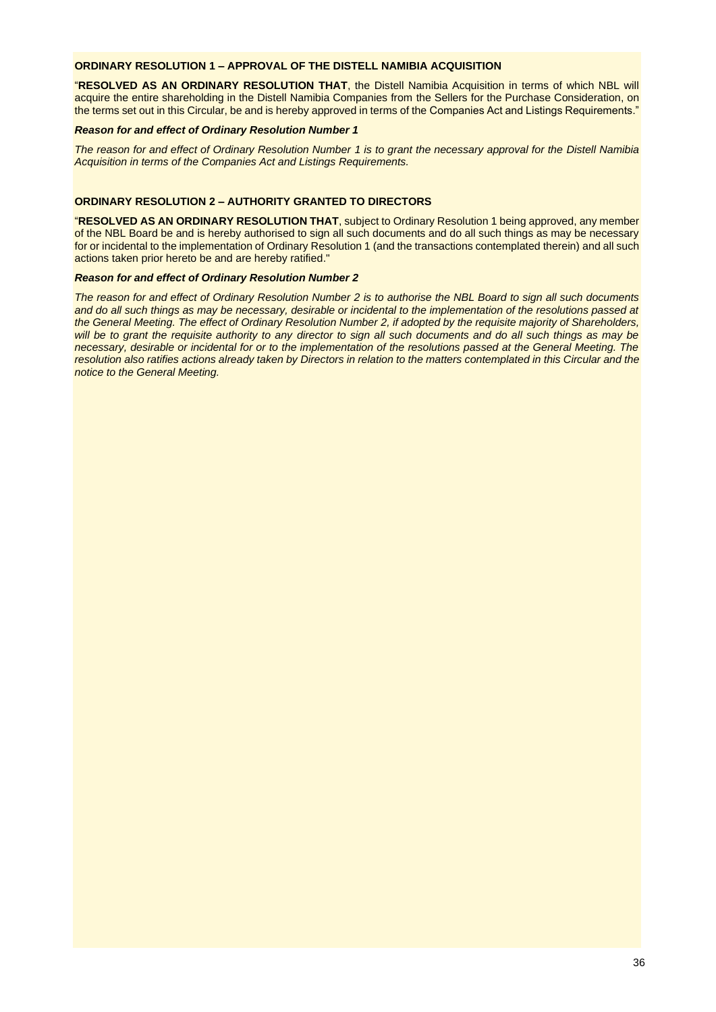## **ORDINARY RESOLUTION 1 – APPROVAL OF THE DISTELL NAMIBIA ACQUISITION**

"**RESOLVED AS AN ORDINARY RESOLUTION THAT**, the Distell Namibia Acquisition in terms of which NBL will acquire the entire shareholding in the Distell Namibia Companies from the Sellers for the Purchase Consideration, on the terms set out in this Circular, be and is hereby approved in terms of the Companies Act and Listings Requirements."

#### *Reason for and effect of Ordinary Resolution Number 1*

*The reason for and effect of Ordinary Resolution Number 1 is to grant the necessary approval for the Distell Namibia Acquisition in terms of the Companies Act and Listings Requirements.*

## **ORDINARY RESOLUTION 2 – AUTHORITY GRANTED TO DIRECTORS**

"**RESOLVED AS AN ORDINARY RESOLUTION THAT**, subject to Ordinary Resolution 1 being approved, any member of the NBL Board be and is hereby authorised to sign all such documents and do all such things as may be necessary for or incidental to the implementation of Ordinary Resolution 1 (and the transactions contemplated therein) and all such actions taken prior hereto be and are hereby ratified."

#### *Reason for and effect of Ordinary Resolution Number 2*

*The reason for and effect of Ordinary Resolution Number 2 is to authorise the NBL Board to sign all such documents and do all such things as may be necessary, desirable or incidental to the implementation of the resolutions passed at the General Meeting. The effect of Ordinary Resolution Number 2, if adopted by the requisite majority of Shareholders, will be to grant the requisite authority to any director to sign all such documents and do all such things as may be necessary, desirable or incidental for or to the implementation of the resolutions passed at the General Meeting. The resolution also ratifies actions already taken by Directors in relation to the matters contemplated in this Circular and the notice to the General Meeting.*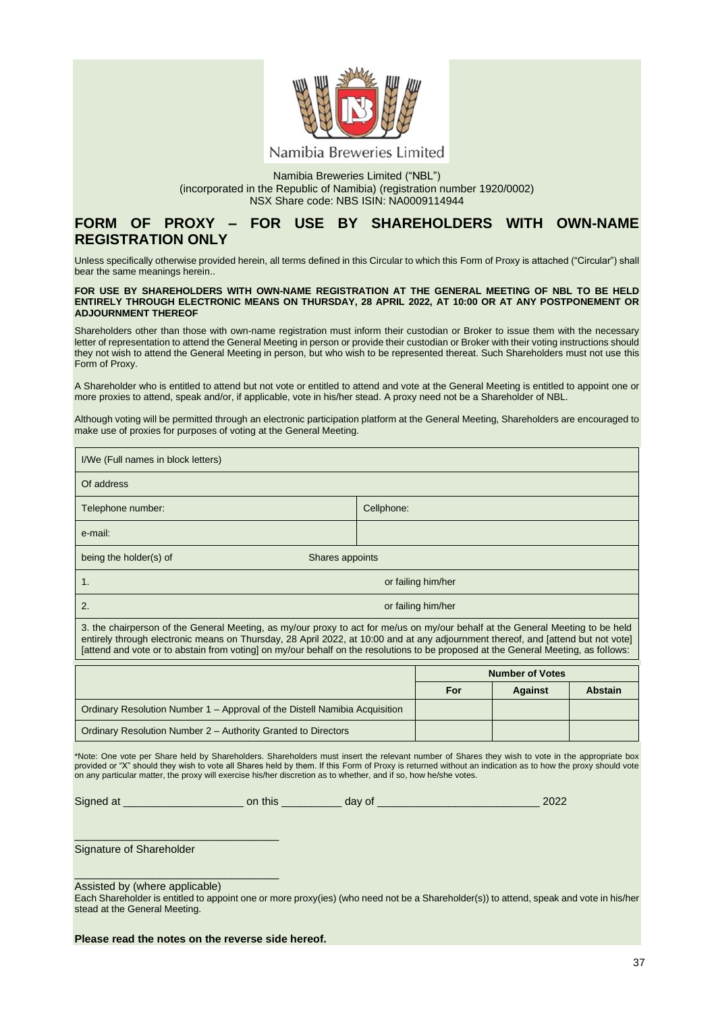

Namibia Breweries Limited ("NBL") (incorporated in the Republic of Namibia) (registration number 1920/0002) NSX Share code: NBS ISIN: NA0009114944

## **FORM OF PROXY – FOR USE BY SHAREHOLDERS WITH OWN-NAME REGISTRATION ONLY**

Unless specifically otherwise provided herein, all terms defined in this Circular to which this Form of Proxy is attached ("Circular") shall bear the same meanings herein..

#### **FOR USE BY SHAREHOLDERS WITH OWN-NAME REGISTRATION AT THE GENERAL MEETING OF NBL TO BE HELD ENTIRELY THROUGH ELECTRONIC MEANS ON THURSDAY, 28 APRIL 2022, AT 10:00 OR AT ANY POSTPONEMENT OR ADJOURNMENT THEREOF**

Shareholders other than those with own-name registration must inform their custodian or Broker to issue them with the necessary letter of representation to attend the General Meeting in person or provide their custodian or Broker with their voting instructions should they not wish to attend the General Meeting in person, but who wish to be represented thereat. Such Shareholders must not use this Form of Proxy.

A Shareholder who is entitled to attend but not vote or entitled to attend and vote at the General Meeting is entitled to appoint one or more proxies to attend, speak and/or, if applicable, vote in his/her stead. A proxy need not be a Shareholder of NBL.

Although voting will be permitted through an electronic participation platform at the General Meeting, Shareholders are encouraged to make use of proxies for purposes of voting at the General Meeting.

| I/We (Full names in block letters)                                                                                                                                                                                                                                                                                                                                                                       |                        |  |  |  |
|----------------------------------------------------------------------------------------------------------------------------------------------------------------------------------------------------------------------------------------------------------------------------------------------------------------------------------------------------------------------------------------------------------|------------------------|--|--|--|
| Of address                                                                                                                                                                                                                                                                                                                                                                                               |                        |  |  |  |
| Telephone number:                                                                                                                                                                                                                                                                                                                                                                                        | Cellphone:             |  |  |  |
| e-mail:                                                                                                                                                                                                                                                                                                                                                                                                  |                        |  |  |  |
| being the holder(s) of<br>Shares appoints                                                                                                                                                                                                                                                                                                                                                                |                        |  |  |  |
| 1.                                                                                                                                                                                                                                                                                                                                                                                                       | or failing him/her     |  |  |  |
| 2.<br>or failing him/her                                                                                                                                                                                                                                                                                                                                                                                 |                        |  |  |  |
| 3. the chairperson of the General Meeting, as my/our proxy to act for me/us on my/our behalf at the General Meeting to be held<br>entirely through electronic means on Thursday, 28 April 2022, at 10:00 and at any adjournment thereof, and [attend but not vote]<br>[attend and vote or to abstain from voting] on my/our behalf on the resolutions to be proposed at the General Meeting, as follows: |                        |  |  |  |
|                                                                                                                                                                                                                                                                                                                                                                                                          | <b>Number of Votes</b> |  |  |  |

|                                                                            | <b>NUMBER OF VOTES</b> |                |                |
|----------------------------------------------------------------------------|------------------------|----------------|----------------|
|                                                                            | For                    | <b>Against</b> | <b>Abstain</b> |
| Ordinary Resolution Number 1 – Approval of the Distell Namibia Acquisition |                        |                |                |
| Ordinary Resolution Number 2 – Authority Granted to Directors              |                        |                |                |

\*Note: One vote per Share held by Shareholders. Shareholders must insert the relevant number of Shares they wish to vote in the appropriate box provided or "X" should they wish to vote all Shares held by them. If this Form of Proxy is returned without an indication as to how the proxy should vote on any particular matter, the proxy will exercise his/her discretion as to whether, and if so, how he/she votes.

Signed at \_\_\_\_\_\_\_\_\_\_\_\_\_\_\_\_\_\_\_\_ on this \_\_\_\_\_\_\_\_\_\_ day of \_\_\_\_\_\_\_\_\_\_\_\_\_\_\_\_\_\_\_\_\_\_\_\_\_\_\_ 2022

Signature of Shareholder

Assisted by (where applicable)

\_\_\_\_\_\_\_\_\_\_\_\_\_\_\_\_\_\_\_\_\_\_\_\_\_\_\_\_\_\_\_\_\_\_

\_\_\_\_\_\_\_\_\_\_\_\_\_\_\_\_\_\_\_\_\_\_\_\_\_\_\_\_\_\_\_\_\_\_

Each Shareholder is entitled to appoint one or more proxy(ies) (who need not be a Shareholder(s)) to attend, speak and vote in his/her stead at the General Meeting.

**Please read the notes on the reverse side hereof.**